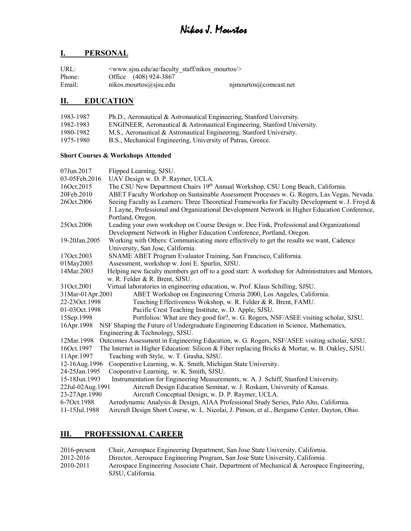## **I. PERSONAL**

| URL:   | $\leq$ www.sisu.edu/ae/faculty staff/nikos mourtos/ $>$ |                           |
|--------|---------------------------------------------------------|---------------------------|
| Phone: | Office (408) 924-3867                                   |                           |
| Email: | nikos.mourtos@sjsu.edu                                  | $njmoutos(a)$ comcast.net |

## **II. EDUCATION**

| 1983-1987 | Ph.D., Aeronautical & Astronautical Engineering, Stanford University.    |
|-----------|--------------------------------------------------------------------------|
| 1982-1983 | ENGINEER, Aeronautical & Astronautical Engineering, Stanford University. |
| 1980-1982 | M.S., Aeronautical & Astronautical Engineering, Stanford University.     |
| 1975-1980 | B.S., Mechanical Engineering, University of Patras, Greece.              |

## **Short Courses & Workshops Attended**

| Flipped Learning, SJSU.                                                                          |
|--------------------------------------------------------------------------------------------------|
| UAV Design w. D. P. Raymer, UCLA.                                                                |
| The CSU New Department Chairs 19th Annual Workshop, CSU Long Beach, California.                  |
| ABET Faculty Workshop on Sustainable Assessment Processes w. G. Rogers, Las Vegas, Nevada.       |
| Seeing Faculty as Learners: Three Theoretical Frameworks for Faculty Development w. J. Froyd &   |
| J. Layne, Professional and Organizational Development Network in Higher Education Conference,    |
| Portland, Oregon.                                                                                |
| Leading your own workshop on Course Design w. Dee Fink, Professional and Organizational          |
| Development Network in Higher Education Conference, Portland, Oregon.                            |
| Working with Others: Communicating more effectively to get the results we want, Cadence          |
| University, San Jose, California.                                                                |
| SNAME ABET Program Evaluator Training, San Francisco, California.                                |
| Assessment, workshop w. Joni E. Spurlin, SJSU.                                                   |
| Helping new faculty members get off to a good start: A workshop for Administrators and Mentors,  |
| w. R. Felder & R. Brent, SJSU.                                                                   |
| Virtual laboratories in engineering education, w. Prof. Klaus Schilling, SJSU.                   |
| 31Mar-01Apr.2001<br>ABET Workshop on Engineering Criteria 2000, Los Angeles, California.         |
| Teaching Effectiveness Wokshop, w. R. Felder & R. Brent, FAMU.                                   |
| Pacific Crest Teaching Institute, w. D. Apple, SJSU.                                             |
| Portfolios: What are they good for?, w. G. Rogers, NSF/ASEE visiting scholar, SJSU.              |
| NSF Shaping the Future of Undergraduate Engineering Education in Science, Mathematics,           |
| Engineering & Technology, SJSU.                                                                  |
| Outcomes Assessment in Engineering Education, w. G. Rogers, NSF/ASEE visiting scholar, SJSU.     |
| The Internet in Higher Education: Silicon & Fiber replacing Bricks & Mortar, w. B. Oakley, SJSU. |
| Teaching with Style, w. T. Grasha, SJSU.                                                         |
| Cooperative Learning, w. K. Smith, Michigan State University.                                    |
| Cooperative Learning, w. K. Smith, SJSU.                                                         |
| Instrumentation for Engineering Measurements, w. A. J. Schiff, Stanford University.              |
| 22Jul-02Aug.1991<br>Aircraft Design Education Seminar, w. J. Roskam, University of Kansas.       |
| Aircraft Conceptual Design, w. D. P. Raymer, UCLA.                                               |
| Aerodynamic Analysis & Design, AIAA Professional Study Series, Palo Alto, California.            |
| Aircraft Design Short Course, w. L. Nicolai, J. Pinson, et al., Bergamo Center, Dayton, Ohio.    |
|                                                                                                  |

## **III. PROFESSIONAL CAREER**

| 2016-present | Chair, Aerospace Engineering Department, San Jose State University, California.          |
|--------------|------------------------------------------------------------------------------------------|
| 2012-2016    | Director, Aerospace Engineering Program, San Jose State University, California.          |
| 2010-2011    | Aerospace Engineering Associate Chair, Department of Mechanical & Aerospace Engineering, |
|              | SJSU. California.                                                                        |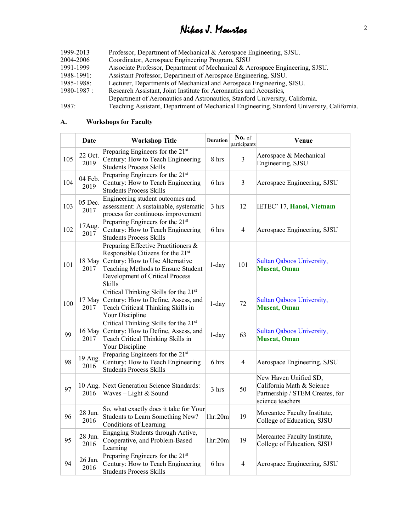| 1999-2013       | Professor, Department of Mechanical & Aerospace Engineering, SJSU.                         |
|-----------------|--------------------------------------------------------------------------------------------|
| 2004-2006       | Coordinator, Aerospace Engineering Program, SJSU                                           |
| 1991-1999       | Associate Professor, Department of Mechanical & Aerospace Engineering, SJSU.               |
| 1988-1991:      | Assistant Professor, Department of Aerospace Engineering, SJSU.                            |
| 1985-1988:      | Lecturer, Departments of Mechanical and Aerospace Engineering, SJSU.                       |
| $1980 - 1987$ : | Research Assistant, Joint Institute for Aeronautics and Acoustics,                         |
|                 | Department of Aeronautics and Astronautics, Stanford University, California.               |
| 1987:           | Teaching Assistant, Department of Mechanical Engineering, Stanford University, California. |

#### **A. Workshops for Faculty**

|     | Date            | <b>Workshop Title</b>                                                                                                                                                                                 | <b>Duration</b> | No. of<br>participants  | Venue                                                                                                     |
|-----|-----------------|-------------------------------------------------------------------------------------------------------------------------------------------------------------------------------------------------------|-----------------|-------------------------|-----------------------------------------------------------------------------------------------------------|
| 105 | 22 Oct.<br>2019 | Preparing Engineers for the 21st<br>Century: How to Teach Engineering<br><b>Students Process Skills</b>                                                                                               | 8 hrs           | $\overline{\mathbf{3}}$ | Aerospace & Mechanical<br>Engineering, SJSU                                                               |
| 104 | 04 Feb.<br>2019 | Preparing Engineers for the 21 <sup>st</sup><br>Century: How to Teach Engineering<br><b>Students Process Skills</b>                                                                                   | 6 hrs           | $\mathfrak{Z}$          | Aerospace Engineering, SJSU                                                                               |
| 103 | 05 Dec.<br>2017 | Engineering student outcomes and<br>assessment: A sustainable, systematic<br>process for continuous improvement                                                                                       | 3 hrs           | 12                      | IETEC' 17, Hanoi, Vietnam                                                                                 |
| 102 | 17Aug.<br>2017  | Preparing Engineers for the 21st<br>Century: How to Teach Engineering<br><b>Students Process Skills</b>                                                                                               | 6 hrs           | $\overline{4}$          | Aerospace Engineering, SJSU                                                                               |
| 101 | 18 May<br>2017  | Preparing Effective Practitioners &<br>Responsible Citizens for the 21st<br>Century: How to Use Alternative<br>Teaching Methods to Ensure Student<br>Development of Critical Process<br><b>Skills</b> | $1$ -day        | 101                     | Sultan Qaboos University,<br><b>Muscat, Oman</b>                                                          |
| 100 | 2017            | Critical Thinking Skills for the 21 <sup>st</sup><br>17 May Century: How to Define, Assess, and<br>Teach Criticasl Thinking Skills in<br>Your Discipline                                              | $1$ -day        | 72                      | Sultan Qaboos University,<br><b>Muscat, Oman</b>                                                          |
| 99  | 16 May<br>2017  | Critical Thinking Skills for the 21 <sup>st</sup><br>Century: How to Define, Assess, and<br>Teach Critical Thinking Skills in<br>Your Discipline                                                      | $1$ -day        | 63                      | Sultan Qaboos University,<br><b>Muscat, Oman</b>                                                          |
| 98  | 19 Aug.<br>2016 | Preparing Engineers for the 21 <sup>st</sup><br>Century: How to Teach Engineering<br><b>Students Process Skills</b>                                                                                   | 6 hrs           | $\overline{4}$          | Aerospace Engineering, SJSU                                                                               |
| 97  | 10 Aug.<br>2016 | Next Generation Science Standards:<br>Waves - Light & Sound                                                                                                                                           | 3 hrs           | 50                      | New Haven Unified SD,<br>California Math & Science<br>Partnership / STEM Creates, for<br>science teachers |
| 96  | 28 Jun.<br>2016 | So, what exactly does it take for Your<br>Students to Learn Something New?<br>Conditions of Learning                                                                                                  | 1hr:20m         | 19                      | Mercantec Faculty Institute,<br>College of Education, SJSU                                                |
| 95  | 28 Jun.<br>2016 | Engaging Students through Active,<br>Cooperative, and Problem-Based<br>Learning                                                                                                                       | 1hr:20m         | 19                      | Mercantec Faculty Institute,<br>College of Education, SJSU                                                |
| 94  | 26 Jan.<br>2016 | Preparing Engineers for the 21st<br>Century: How to Teach Engineering<br><b>Students Process Skills</b>                                                                                               | 6 hrs           | $\overline{4}$          | Aerospace Engineering, SJSU                                                                               |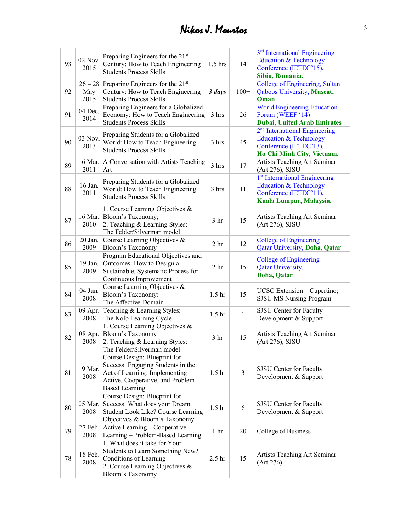| 93 | 02 Nov.<br>2015          | Preparing Engineers for the 21 <sup>st</sup><br>Century: How to Teach Engineering<br><b>Students Process Skills</b>                                              | $1.5$ hrs         | 14             | 3 <sup>rd</sup> International Engineering<br>Education & Technology<br>Conference (IETEC'15),<br>Sibiu, Romania.            |
|----|--------------------------|------------------------------------------------------------------------------------------------------------------------------------------------------------------|-------------------|----------------|-----------------------------------------------------------------------------------------------------------------------------|
| 92 | $26 - 28$<br>May<br>2015 | Preparing Engineers for the 21 <sup>st</sup><br>Century: How to Teach Engineering<br><b>Students Process Skills</b>                                              | 3 days            | $100+$         | College of Engineering, Sultan<br>Qaboos University, Muscat,<br>Oman                                                        |
| 91 | 04 Dec.<br>2014          | Preparing Engineers for a Globalized<br>Economy: How to Teach Engineering<br><b>Students Process Skills</b>                                                      | 3 hrs             | 26             | <b>World Engineering Education</b><br>Forum (WEEF '14)<br><b>Dubai, United Arab Emirates</b>                                |
| 90 | 03 Nov.<br>2013          | Preparing Students for a Globalized<br>World: How to Teach Engineering<br><b>Students Process Skills</b>                                                         | 3 hrs             | 45             | 2 <sup>nd</sup> International Engineering<br>Education & Technology<br>Conference (IETEC'13),<br>Ho Chi Minh City, Vietnam. |
| 89 | 2011                     | 16 Mar. A Conversation with Artists Teaching<br>Art                                                                                                              | 3 hrs             | 17             | Artists Teaching Art Seminar<br>(Art 276), SJSU                                                                             |
| 88 | 16 Jan.<br>2011          | Preparing Students for a Globalized<br>World: How to Teach Engineering<br><b>Students Process Skills</b>                                                         | 3 hrs             | 11             | 1 <sup>st</sup> International Engineering<br>Education & Technology<br>Conference (IETEC'11),<br>Kuala Lumpur, Malaysia.    |
| 87 | 2010                     | 1. Course Learning Objectives &<br>16 Mar. Bloom's Taxonomy;<br>2. Teaching & Learning Styles:<br>The Felder/Silverman model                                     | 3 <sub>hr</sub>   | 15             | Artists Teaching Art Seminar<br>(Art 276), SJSU                                                                             |
| 86 | 20 Jan.<br>2009          | Course Learning Objectives &<br>Bloom's Taxonomy                                                                                                                 | 2 <sub>hr</sub>   | 12             | <b>College of Engineering</b><br>Qatar University, Doha, Qatar                                                              |
| 85 | 19 Jan.<br>2009          | Program Educational Objectives and<br>Outcomes: How to Design a<br>Sustainable, Systematic Process for<br>Continuous Improvement                                 | 2 <sub>hr</sub>   | 15             | <b>College of Engineering</b><br>Qatar University,<br>Doha, Qatar                                                           |
| 84 | 04 Jun.<br>2008          | Course Learning Objectives &<br>Bloom's Taxonomy:<br>The Affective Domain                                                                                        | 1.5 <sub>hr</sub> | 15             | UCSC Extension – Cupertino;<br><b>SJSU MS Nursing Program</b>                                                               |
| 83 | 09 Apr.<br>2008          | Teaching & Learning Styles:<br>The Kolb Learning Cycle                                                                                                           | 1.5 <sub>hr</sub> | $\mathbf{1}$   | <b>SJSU</b> Center for Faculty<br>Development & Support                                                                     |
| 82 | 08 Apr.<br>2008          | 1. Course Learning Objectives &<br>Bloom's Taxonomy<br>2. Teaching & Learning Styles:<br>The Felder/Silverman model                                              | 3 <sub>hr</sub>   | 15             | Artists Teaching Art Seminar<br>(Art 276), SJSU                                                                             |
| 81 | 19 Mar.<br>2008          | Course Design: Blueprint for<br>Success: Engaging Students in the<br>Act of Learning: Implementing<br>Active, Cooperative, and Problem-<br><b>Based Learning</b> | 1.5 <sub>hr</sub> | $\overline{3}$ | SJSU Center for Faculty<br>Development & Support                                                                            |
| 80 | 05 Mar.<br>2008          | Course Design: Blueprint for<br>Success: What does your Dream<br>Student Look Like? Course Learning<br>Objectives & Bloom's Taxonomy                             | 1.5 <sub>hr</sub> | 6              | SJSU Center for Faculty<br>Development & Support                                                                            |
| 79 | 27 Feb.<br>2008          | Active Learning – Cooperative<br>Learning - Problem-Based Learning                                                                                               | 1 <sub>hr</sub>   | 20             | College of Business                                                                                                         |
| 78 | 18 Feb.<br>2008          | 1. What does it take for Your<br>Students to Learn Something New?<br>Conditions of Learning<br>2. Course Learning Objectives $\&$<br>Bloom's Taxonomy            | 2.5 <sub>hr</sub> | 15             | Artists Teaching Art Seminar<br>(Art 276)                                                                                   |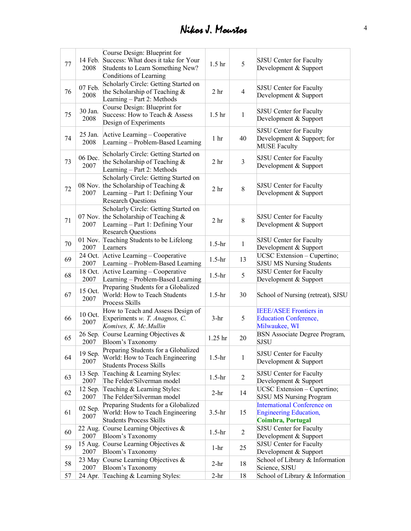|    |         | Course Design: Blueprint for                                                     |                   |                  |                                                  |
|----|---------|----------------------------------------------------------------------------------|-------------------|------------------|--------------------------------------------------|
| 77 | 14 Feb. | Success: What does it take for Your                                              | 1.5 <sub>hr</sub> | 5                | SJSU Center for Faculty                          |
|    | 2008    | Students to Learn Something New?                                                 |                   |                  | Development & Support                            |
|    |         | Conditions of Learning                                                           |                   |                  |                                                  |
|    | 07 Feb. | Scholarly Circle: Getting Started on                                             |                   |                  | <b>SJSU Center for Faculty</b>                   |
| 76 | 2008    | the Scholarship of Teaching &                                                    | 2 <sub>hr</sub>   | $\overline{4}$   | Development & Support                            |
|    |         | Learning - Part 2: Methods                                                       |                   |                  |                                                  |
|    | 30 Jan. | Course Design: Blueprint for                                                     |                   |                  | <b>SJSU Center for Faculty</b>                   |
| 75 | 2008    | Success: How to Teach & Assess                                                   | 1.5 <sub>hr</sub> | $\mathbf{1}$     | Development & Support                            |
|    |         | Design of Experiments                                                            |                   |                  |                                                  |
|    | 25 Jan. | Active Learning - Cooperative                                                    |                   |                  | SJSU Center for Faculty                          |
| 74 | 2008    | Learning – Problem-Based Learning                                                | 1 <sub>hr</sub>   | 40               | Development & Support; for                       |
|    |         |                                                                                  |                   |                  | <b>MUSE Faculty</b>                              |
|    | 06 Dec. | Scholarly Circle: Getting Started on                                             |                   |                  | SJSU Center for Faculty                          |
| 73 | 2007    | the Scholarship of Teaching &                                                    | 2 <sub>hr</sub>   | $\mathfrak{Z}$   | Development & Support                            |
|    |         | Learning - Part 2: Methods                                                       |                   |                  |                                                  |
|    |         | Scholarly Circle: Getting Started on<br>08 Nov. the Scholarship of Teaching $\&$ |                   |                  |                                                  |
| 72 | 2007    |                                                                                  | 2 <sub>hr</sub>   | 8                | SJSU Center for Faculty<br>Development & Support |
|    |         | Learning - Part 1: Defining Your<br><b>Research Questions</b>                    |                   |                  |                                                  |
|    |         | Scholarly Circle: Getting Started on                                             |                   |                  |                                                  |
|    |         | 07 Nov. the Scholarship of Teaching $\&$                                         |                   |                  | SJSU Center for Faculty                          |
| 71 | 2007    | Learning - Part 1: Defining Your                                                 | 2 <sub>hr</sub>   | 8                | Development & Support                            |
|    |         | <b>Research Questions</b>                                                        |                   |                  |                                                  |
|    | 01 Nov. | Teaching Students to be Lifelong                                                 |                   |                  | SJSU Center for Faculty                          |
| 70 | 2007    | Learners                                                                         | $1.5-hr$          | 1                | Development & Support                            |
|    | 24 Oct. | Active Learning - Cooperative                                                    |                   |                  | UCSC Extension - Cupertino;                      |
| 69 | 2007    | Learning - Problem-Based Learning                                                | $1.5-hr$          | 13               | <b>SJSU MS Nursing Students</b>                  |
|    | 18 Oct. | Active Learning – Cooperative                                                    |                   |                  | <b>SJSU Center for Faculty</b>                   |
| 68 | 2007    | Learning - Problem-Based Learning                                                | $1.5-hr$          | 5                | Development & Support                            |
|    |         | Preparing Students for a Globalized                                              |                   |                  | School of Nursing (retreat), SJSU                |
| 67 | 15 Oct. | World: How to Teach Students                                                     | $1.5-hr$          | 30               |                                                  |
|    | 2007    | Process Skills                                                                   |                   |                  |                                                  |
|    |         | How to Teach and Assess Design of                                                |                   |                  | <b>IEEE/ASEE Frontiers in</b>                    |
| 66 | 10 Oct. | Experiments w. T. Anagnos, C.                                                    | $3-hr$            | 5                | <b>Education Conference,</b>                     |
|    | 2007    | Komives, K. Mc.Mullin                                                            |                   |                  | Milwaukee, WI                                    |
| 65 | 26 Sep. | Course Learning Objectives &                                                     | 1.25 hr           | 20               | BSN Associate Degree Program,                    |
|    | 2007    | <b>Bloom's Taxonomy</b>                                                          |                   |                  | <b>SJSU</b>                                      |
|    | 19 Sep. | Preparing Students for a Globalized                                              |                   |                  | SJSU Center for Faculty                          |
| 64 | 2007    | World: How to Teach Engineering                                                  | $1.5-hr$          | $\mathbf{1}$     | Development & Support                            |
|    |         | <b>Students Process Skills</b>                                                   |                   |                  |                                                  |
| 63 | 13 Sep. | Teaching & Learning Styles:                                                      | $1.5-hr$          | $\overline{2}$   | SJSU Center for Faculty                          |
|    | 2007    | The Felder/Silverman model                                                       |                   |                  | Development & Support                            |
| 62 | 12 Sep. | Teaching & Learning Styles:                                                      | $2-hr$            | 14               | UCSC Extension - Cupertino;                      |
|    | 2007    | The Felder/Silverman model                                                       |                   |                  | <b>SJSU MS Nursing Program</b>                   |
|    | 02 Sep. | Preparing Students for a Globalized                                              |                   |                  | <b>International Conference on</b>               |
| 61 | 2007    | World: How to Teach Engineering                                                  | $3.5-hr$          | 15               | <b>Engineering Education,</b>                    |
|    |         | <b>Students Process Skills</b>                                                   |                   |                  | <b>Coimbra, Portugal</b>                         |
| 60 | 22 Aug. | Course Learning Objectives &                                                     | $1.5-hr$          | $\boldsymbol{2}$ | <b>SJSU Center for Faculty</b>                   |
|    | 2007    | Bloom's Taxonomy                                                                 |                   |                  | Development & Support                            |
| 59 | 15 Aug. | Course Learning Objectives &                                                     | $1-hr$            | 25               | SJSU Center for Faculty                          |
|    | 2007    | Bloom's Taxonomy                                                                 |                   |                  | Development & Support                            |
| 58 | 23 May  | Course Learning Objectives &                                                     | $2-hr$            | 18               | School of Library & Information                  |
|    | 2007    | Bloom's Taxonomy                                                                 |                   |                  | Science, SJSU                                    |
| 57 | 24 Apr. | Teaching & Learning Styles:                                                      | $2-hr$            | 18               | School of Library & Information                  |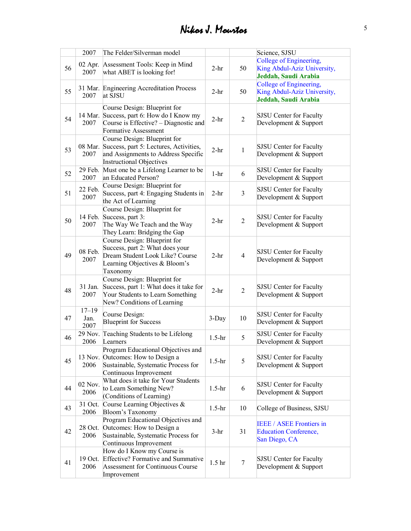|    | 2007            | The Felder/Silverman model                                  |                   |                | Science, SJSU                                    |
|----|-----------------|-------------------------------------------------------------|-------------------|----------------|--------------------------------------------------|
|    |                 |                                                             |                   |                | College of Engineering,                          |
| 56 | 02 Apr.<br>2007 | Assessment Tools: Keep in Mind<br>what ABET is looking for! | $2-hr$            | 50             | King Abdul-Aziz University,                      |
|    |                 |                                                             |                   |                | Jeddah, Saudi Arabia                             |
|    |                 | 31 Mar. Engineering Accreditation Process                   |                   |                | College of Engineering,                          |
| 55 | 2007            | at SJSU                                                     | $2-hr$            | 50             | King Abdul-Aziz University,                      |
|    |                 |                                                             |                   |                | Jeddah, Saudi Arabia                             |
|    |                 | Course Design: Blueprint for                                |                   |                |                                                  |
| 54 |                 | 14 Mar. Success, part 6: How do I Know my                   | $2-hr$            | $\overline{2}$ | SJSU Center for Faculty                          |
|    | 2007            | Course is Effective? – Diagnostic and                       |                   |                | Development & Support                            |
|    |                 | Formative Assessment                                        |                   |                |                                                  |
|    |                 | Course Design: Blueprint for                                |                   |                |                                                  |
| 53 |                 | 08 Mar. Success, part 5: Lectures, Activities,              | $2-hr$            | $\mathbf{1}$   | SJSU Center for Faculty                          |
|    | 2007            | and Assignments to Address Specific                         |                   |                | Development & Support                            |
|    |                 | <b>Instructional Objectives</b>                             |                   |                |                                                  |
| 52 | 29 Feb.         | Must one be a Lifelong Learner to be                        | $1-hr$            | 6              | SJSU Center for Faculty                          |
|    | 2007            | an Educated Person?                                         |                   |                | Development & Support                            |
|    | 22 Feb.         | Course Design: Blueprint for                                |                   |                | <b>SJSU Center for Faculty</b>                   |
| 51 | 2007            | Success, part 4: Engaging Students in                       | $2-hr$            | $\mathfrak{Z}$ | Development & Support                            |
|    |                 | the Act of Learning                                         |                   |                |                                                  |
|    |                 | Course Design: Blueprint for                                |                   |                |                                                  |
| 50 | 14 Feb.         | Success, part 3:                                            | $2-hr$            | $\overline{2}$ | SJSU Center for Faculty                          |
|    | 2007            | The Way We Teach and the Way                                |                   |                | Development & Support                            |
|    |                 | They Learn: Bridging the Gap                                |                   |                |                                                  |
|    |                 | Course Design: Blueprint for                                |                   |                |                                                  |
|    | 08 Feb.         | Success, part 2: What does your                             |                   |                | SJSU Center for Faculty                          |
| 49 | 2007            | Dream Student Look Like? Course                             | $2-hr$            | $\overline{4}$ | Development & Support                            |
|    |                 | Learning Objectives & Bloom's                               |                   |                |                                                  |
|    |                 | Taxonomy                                                    |                   |                |                                                  |
|    |                 | Course Design: Blueprint for                                |                   |                |                                                  |
| 48 | 31 Jan.         | Success, part 1: What does it take for                      | $2-hr$            | $\overline{2}$ | SJSU Center for Faculty                          |
|    | 2007            | Your Students to Learn Something                            |                   |                | Development & Support                            |
|    |                 | New? Conditions of Learning                                 |                   |                |                                                  |
|    | $17 - 19$       | Course Design:                                              |                   |                | <b>SJSU Center for Faculty</b>                   |
| 47 | Jan.<br>2007    | <b>Blueprint for Success</b>                                | $3$ -Day          | 10             | Development & Support                            |
|    | 29 Nov.         |                                                             |                   |                |                                                  |
| 46 | 2006            | Teaching Students to be Lifelong                            | $1.5-hr$          | 5              | SJSU Center for Faculty                          |
|    |                 | Learners<br>Program Educational Objectives and              |                   |                | Development & Support                            |
|    |                 | 13 Nov. Outcomes: How to Design a                           |                   |                |                                                  |
| 45 | 2006            | Sustainable, Systematic Process for                         | $1.5-hr$          | 5              | SJSU Center for Faculty<br>Development & Support |
|    |                 | Continuous Improvement                                      |                   |                |                                                  |
|    |                 | What does it take for Your Students                         |                   |                |                                                  |
| 44 | 02 Nov.         | to Learn Something New?                                     | $1.5-hr$          | 6              | SJSU Center for Faculty                          |
|    | 2006            | (Conditions of Learning)                                    |                   |                | Development & Support                            |
|    | 31 Oct.         | Course Learning Objectives &                                |                   |                |                                                  |
| 43 | 2006            | Bloom's Taxonomy                                            | $1.5-hr$          | 10             | College of Business, SJSU                        |
|    |                 | Program Educational Objectives and                          |                   |                |                                                  |
| 42 | 28 Oct.         | Outcomes: How to Design a                                   |                   |                | <b>IEEE / ASEE Frontiers in</b>                  |
|    | 2006            | Sustainable, Systematic Process for                         | $3-hr$            | 31             | <b>Education Conference,</b>                     |
|    |                 | Continuous Improvement                                      |                   |                | San Diego, CA                                    |
|    |                 | How do I Know my Course is                                  |                   |                |                                                  |
| 41 | 19 Oct.         | Effective? Formative and Summative                          |                   |                | <b>SJSU</b> Center for Faculty                   |
|    | 2006            | Assessment for Continuous Course                            | 1.5 <sub>hr</sub> | $\tau$         | Development & Support                            |
|    |                 | Improvement                                                 |                   |                |                                                  |
|    |                 |                                                             |                   |                |                                                  |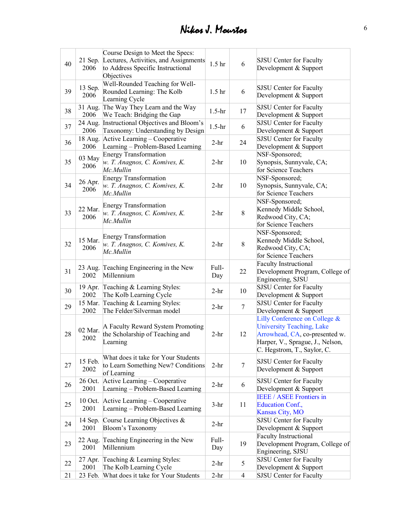| 40 | 21 Sep.<br>2006 | Course Design to Meet the Specs:<br>Lectures, Activities, and Assignments<br>to Address Specific Instructional<br>Objectives | 1.5 <sub>hr</sub> | 6              | <b>SJSU</b> Center for Faculty<br>Development & Support                                                                                                                |
|----|-----------------|------------------------------------------------------------------------------------------------------------------------------|-------------------|----------------|------------------------------------------------------------------------------------------------------------------------------------------------------------------------|
| 39 | 13 Sep.<br>2006 | Well-Rounded Teaching for Well-<br>Rounded Learning: The Kolb<br>Learning Cycle                                              | 1.5 <sub>hr</sub> | 6              | SJSU Center for Faculty<br>Development & Support                                                                                                                       |
| 38 | 31 Aug.<br>2006 | The Way They Learn and the Way<br>We Teach: Bridging the Gap                                                                 | $1.5-hr$          | 17             | SJSU Center for Faculty<br>Development & Support                                                                                                                       |
| 37 | 24 Aug.<br>2006 | Instructional Objectives and Bloom's<br>Taxonomy: Understanding by Design                                                    | $1.5-hr$          | 6              | SJSU Center for Faculty<br>Development & Support                                                                                                                       |
| 36 | 18 Aug.<br>2006 | Active Learning – Cooperative<br>Learning - Problem-Based Learning                                                           | $2-hr$            | 24             | <b>SJSU Center for Faculty</b><br>Development & Support                                                                                                                |
| 35 | 03 May<br>2006  | <b>Energy Transformation</b><br>w. T. Anagnos, C. Komives, K.<br>Mc.Mullin                                                   | $2-hr$            | 10             | NSF-Sponsored;<br>Synopsis, Sunnyvale, CA;<br>for Science Teachers                                                                                                     |
| 34 | 26 Apr.<br>2006 | <b>Energy Transformation</b><br>w. T. Anagnos, C. Komives, K.<br>Mc.Mullin                                                   | $2-hr$            | 10             | NSF-Sponsored;<br>Synopsis, Sunnyvale, CA;<br>for Science Teachers                                                                                                     |
| 33 | 22 Mar.<br>2006 | <b>Energy Transformation</b><br>w. T. Anagnos, C. Komives, K.<br>Mc.Mullin                                                   | $2-hr$            | 8              | NSF-Sponsored;<br>Kennedy Middle School,<br>Redwood City, CA;<br>for Science Teachers                                                                                  |
| 32 | 15 Mar.<br>2006 | <b>Energy Transformation</b><br>w. T. Anagnos, C. Komives, K.<br>Mc.Mullin                                                   | $2-hr$            | 8              | NSF-Sponsored;<br>Kennedy Middle School,<br>Redwood City, CA;<br>for Science Teachers                                                                                  |
| 31 | 23 Aug.<br>2002 | Teaching Engineering in the New<br>Millennium                                                                                | Full-<br>Day      | 22             | <b>Faculty Instructional</b><br>Development Program, College of<br>Engineering, SJSU                                                                                   |
| 30 | 19 Apr.<br>2002 | Teaching & Learning Styles:<br>The Kolb Learning Cycle                                                                       | $2-hr$            | 10             | SJSU Center for Faculty<br>Development & Support                                                                                                                       |
| 29 | 15 Mar.<br>2002 | Teaching & Learning Styles:<br>The Felder/Silverman model                                                                    | $2-hr$            | $\tau$         | <b>SJSU Center for Faculty</b><br>Development & Support                                                                                                                |
| 28 | 02 Mar.<br>2002 | A Faculty Reward System Promoting<br>the Scholarship of Teaching and<br>Learning                                             | $2-hr$            | 12             | Lilly Conference on College &<br><b>University Teaching, Lake</b><br>Arrowhead, CA, co-presented w.<br>Harper, V., Sprague, J., Nelson,<br>C. Hegstrom, T., Saylor, C. |
| 27 | 15 Feb.<br>2002 | What does it take for Your Students<br>to Learn Something New? Conditions<br>of Learning                                     | $2-hr$            | 7              | <b>SJSU</b> Center for Faculty<br>Development & Support                                                                                                                |
| 26 | 26 Oct.<br>2001 | Active Learning – Cooperative<br>Learning - Problem-Based Learning                                                           | $2-hr$            | 6              | SJSU Center for Faculty<br>Development & Support                                                                                                                       |
| 25 | 10 Oct.<br>2001 | Active Learning – Cooperative<br>Learning - Problem-Based Learning                                                           | $3-hr$            | 11             | <b>IEEE / ASEE Frontiers in</b><br><b>Education Conf.,</b><br><b>Kansas City, MO</b>                                                                                   |
| 24 | 14 Sep.<br>2001 | Course Learning Objectives &<br>Bloom's Taxonomy                                                                             | $2-hr$            |                | <b>SJSU Center for Faculty</b><br>Development & Support                                                                                                                |
| 23 | 22 Aug.<br>2001 | Teaching Engineering in the New<br>Millennium                                                                                | Full-<br>Day      | 19             | <b>Faculty Instructional</b><br>Development Program, College of<br>Engineering, SJSU                                                                                   |
| 22 | 27 Apr.<br>2001 | Teaching & Learning Styles:<br>The Kolb Learning Cycle                                                                       | $2-hr$            | 5              | SJSU Center for Faculty<br>Development & Support                                                                                                                       |
| 21 | 23 Feb.         | What does it take for Your Students                                                                                          | $2-hr$            | $\overline{4}$ | SJSU Center for Faculty                                                                                                                                                |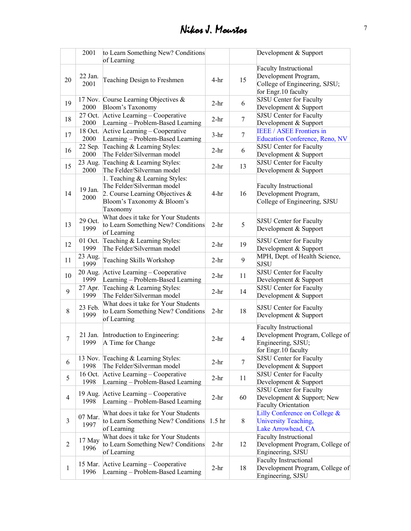|                | 2001            | to Learn Something New? Conditions                                                                                                           |        |                | Development & Support                                                                                         |
|----------------|-----------------|----------------------------------------------------------------------------------------------------------------------------------------------|--------|----------------|---------------------------------------------------------------------------------------------------------------|
|                |                 | of Learning                                                                                                                                  |        |                |                                                                                                               |
| 20             | 22 Jan.<br>2001 | Teaching Design to Freshmen                                                                                                                  | $4-hr$ | 15             | <b>Faculty Instructional</b><br>Development Program,<br>College of Engineering, SJSU;<br>for Engr.10 faculty  |
| 19             | 2000            | 17 Nov. Course Learning Objectives &<br>Bloom's Taxonomy                                                                                     | $2-hr$ | 6              | SJSU Center for Faculty<br>Development & Support                                                              |
| 18             | 27 Oct.<br>2000 | Active Learning – Cooperative<br>Learning - Problem-Based Learning                                                                           | $2-hr$ | $\tau$         | SJSU Center for Faculty<br>Development & Support                                                              |
| 17             | 18 Oct.<br>2000 | Active Learning – Cooperative<br>Learning – Problem-Based Learning                                                                           | $3-hr$ | $\overline{7}$ | <b>IEEE / ASEE Frontiers in</b><br><b>Education Conference, Reno, NV</b>                                      |
| 16             | 22 Sep.<br>2000 | Teaching & Learning Styles:<br>The Felder/Silverman model                                                                                    | $2-hr$ | 6              | SJSU Center for Faculty<br>Development & Support                                                              |
| 15             | 23 Aug.<br>2000 | Teaching & Learning Styles:<br>The Felder/Silverman model                                                                                    | $2-hr$ | 13             | SJSU Center for Faculty<br>Development & Support                                                              |
| 14             | 19 Jan.<br>2000 | 1. Teaching & Learning Styles:<br>The Felder/Silverman model<br>2. Course Learning Objectives $\&$<br>Bloom's Taxonomy & Bloom's<br>Taxonomy | $4-hr$ | 16             | <b>Faculty Instructional</b><br>Development Program,<br>College of Engineering, SJSU                          |
| 13             | 29 Oct.<br>1999 | What does it take for Your Students<br>to Learn Something New? Conditions<br>of Learning                                                     | $2-hr$ | 5              | <b>SJSU</b> Center for Faculty<br>Development & Support                                                       |
| 12             | 01 Oct.<br>1999 | Teaching & Learning Styles:<br>The Felder/Silverman model                                                                                    | $2-hr$ | 19             | SJSU Center for Faculty<br>Development & Support                                                              |
| 11             | 23 Aug.<br>1999 | Teaching Skills Workshop                                                                                                                     | $2-hr$ | 9              | MPH, Dept. of Health Science,<br>SJSU                                                                         |
| 10             | 20 Aug.<br>1999 | Active Learning - Cooperative<br>Learning - Problem-Based Learning                                                                           | $2-hr$ | 11             | SJSU Center for Faculty<br>Development & Support                                                              |
| 9              | 27 Apr.<br>1999 | Teaching & Learning Styles:<br>The Felder/Silverman model                                                                                    | $2-hr$ | 14             | SJSU Center for Faculty<br>Development & Support                                                              |
| 8              | 23 Feb.<br>1999 | What does it take for Your Students<br>to Learn Something New? Conditions<br>of Learning                                                     | $2-hr$ | 18             | <b>SJSU</b> Center for Faculty<br>Development & Support                                                       |
| 7              | 21 Jan.<br>1999 | Introduction to Engineering:<br>A Time for Change                                                                                            | $2-hr$ | $\overline{4}$ | <b>Faculty Instructional</b><br>Development Program, College of<br>Engineering, SJSU;<br>for Engr. 10 faculty |
| 6              | 1998            | 13 Nov. Teaching & Learning Styles:<br>The Felder/Silverman model                                                                            | $2-hr$ | $\tau$         | SJSU Center for Faculty<br>Development & Support                                                              |
| 5              | 16 Oct.<br>1998 | Active Learning – Cooperative<br>Learning - Problem-Based Learning                                                                           | $2-hr$ | 11             | SJSU Center for Faculty<br>Development & Support                                                              |
| $\overline{4}$ | 19 Aug.<br>1998 | Active Learning – Cooperative<br>Learning - Problem-Based Learning                                                                           | $2-hr$ | 60             | SJSU Center for Faculty<br>Development & Support; New<br><b>Faculty Orientation</b>                           |
| 3              | 07 Mar.<br>1997 | What does it take for Your Students<br>to Learn Something New? Conditions 1.5 hr<br>of Learning                                              |        | $8\,$          | Lilly Conference on College &<br>University Teaching,<br>Lake Arrowhead, CA                                   |
| $\overline{c}$ | 17 May<br>1996  | What does it take for Your Students<br>to Learn Something New? Conditions<br>of Learning                                                     | $2-hr$ | 12             | <b>Faculty Instructional</b><br>Development Program, College of<br>Engineering, SJSU                          |
| $\mathbf{1}$   | 1996            | 15 Mar. Active Learning – Cooperative<br>Learning - Problem-Based Learning                                                                   | $2-hr$ | 18             | <b>Faculty Instructional</b><br>Development Program, College of<br>Engineering, SJSU                          |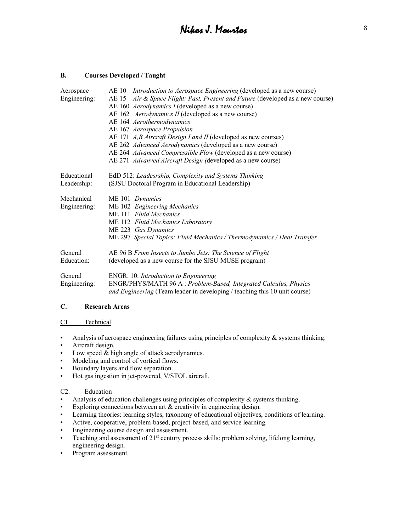### **B. Courses Developed / Taught**

| Aerospace    | AE 10 <i>Introduction to Aerospace Engineering</i> (developed as a new course)                                                                         |
|--------------|--------------------------------------------------------------------------------------------------------------------------------------------------------|
| Engineering: | AE 15 Air & Space Flight: Past, Present and Future (developed as a new course)                                                                         |
|              | AE 160 Aerodynamics I (developed as a new course)                                                                                                      |
|              | AE 162 Aerodynamics II (developed as a new course)                                                                                                     |
|              | AE 164 Aerothermodynamics                                                                                                                              |
|              | AE 167 Aerospace Propulsion                                                                                                                            |
|              | AE 171 A, B Aircraft Design I and II (developed as new courses)                                                                                        |
|              | AE 262 Advanced Aerodynamics (developed as a new course)                                                                                               |
|              | AE 264 Advanced Compressible Flow (developed as a new course)                                                                                          |
|              | AE 271 Advanved Aircraft Design (developed as a new course)                                                                                            |
| Educational  | EdD 512: Leadesrship, Complexity and Systems Thinking                                                                                                  |
| Leadership:  | (SJSU Doctoral Program in Educational Leadership)                                                                                                      |
| Mechanical   | ME 101 Dynamics                                                                                                                                        |
| Engineering: | ME 102 Engineering Mechanics                                                                                                                           |
|              | ME 111 Fluid Mechanics                                                                                                                                 |
|              | ME 112 Fluid Mechanics Laboratory                                                                                                                      |
|              | ME 223 Gas Dynamics                                                                                                                                    |
|              | ME 297 Special Topics: Fluid Mechanics / Thermodynamics / Heat Transfer                                                                                |
| General      | AE 96 B From Insects to Jumbo Jets: The Science of Flight                                                                                              |
| Education:   | (developed as a new course for the SJSU MUSE program)                                                                                                  |
| General      | ENGR. 10: Introduction to Engineering                                                                                                                  |
| Engineering: | ENGR/PHYS/MATH 96 A : Problem-Based, Integrated Calculus, Physics<br><i>and Engineering</i> (Team leader in developing / teaching this 10 unit course) |

#### **C. Research Areas**

#### C1. Technical

- Analysis of aerospace engineering failures using principles of complexity & systems thinking.
- Aircraft design.
- Low speed & high angle of attack aerodynamics.
- Modeling and control of vortical flows.
- Boundary layers and flow separation.
- Hot gas ingestion in jet-powered, V/STOL aircraft.

#### C2. Education

- Analysis of education challenges using principles of complexity  $\&$  systems thinking.
- Exploring connections between art & creativity in engineering design.
- Learning theories: learning styles, taxonomy of educational objectives, conditions of learning.
- Active, cooperative, problem-based, project-based, and service learning.
- Engineering course design and assessment.
- Teaching and assessment of  $21<sup>st</sup>$  century process skills: problem solving, lifelong learning, engineering design.
- Program assessment.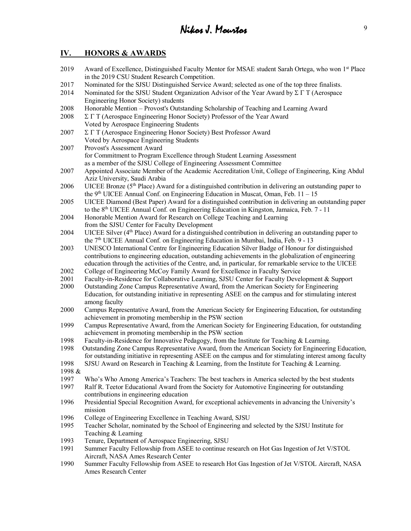## **IV. HONORS & AWARDS**

- 2019 Award of Excellence, Distinguished Faculty Mentor for MSAE student Sarah Ortega, who won 1<sup>st</sup> Place in the 2019 CSU Student Research Competition.
- 2017 Nominated for the SJSU Distinguished Service Award; selected as one of the top three finalists.
- 2014 Nominated for the SJSU Student Organization Advisor of the Year Award by  $\Sigma \Gamma T$  (Aerospace Engineering Honor Society) students
- 2008 Honorable Mention Provost's Outstanding Scholarship of Teaching and Learning Award
- 2008  $\Sigma \Gamma T$  (Aerospace Engineering Honor Society) Professor of the Year Award Voted by Aerospace Engineering Students
- 2007  $\Sigma \Gamma T$  (Aerospace Engineering Honor Society) Best Professor Award Voted by Aerospace Engineering Students
- 2007 Provost's Assessment Award for Commitment to Program Excellence through Student Learning Assessment as a member of the SJSU College of Engineering Assessment Committee
- 2007 Appointed Associate Member of the Academic Accreditation Unit, College of Engineering, King Abdul Aziz University, Saudi Arabia
- 2006 UICEE Bronze ( $5<sup>th</sup>$  Place) Award for a distinguished contribution in delivering an outstanding paper to the  $9<sup>th</sup> UICEE$  Annual Conf. on Engineering Education in Muscat, Oman, Feb. 11 – 15
- 2005 UICEE Diamond (Best Paper) Award for a distinguished contribution in delivering an outstanding paper to the 8<sup>th</sup> UICEE Annual Conf. on Engineering Education in Kingston, Jamaica, Feb. 7 - 11
- 2004 Honorable Mention Award for Research on College Teaching and Learning
- from the SJSU Center for Faculty Development
- 2004 UICEE Silver (4th Place) Award for a distinguished contribution in delivering an outstanding paper to the 7<sup>th</sup> UICEE Annual Conf. on Engineering Education in Mumbai, India, Feb. 9 - 13
- 2003 UNESCO International Centre for Engineering Education Silver Badge of Honour for distinguished contributions to engineering education, outstanding achievements in the globalization of engineering education through the activities of the Centre, and, in particular, for remarkable service to the UICEE
- 2002 College of Engineering McCoy Family Award for Excellence in Faculty Service
- 2001 Faculty-in-Residence for Collaborative Learning, SJSU Center for Faculty Development & Support
- 2000 Outstanding Zone Campus Representative Award, from the American Society for Engineering Education, for outstanding initiative in representing ASEE on the campus and for stimulating interest among faculty
- 2000 Campus Representative Award, from the American Society for Engineering Education, for outstanding achievement in promoting membership in the PSW section
- 1999 Campus Representative Award, from the American Society for Engineering Education, for outstanding achievement in promoting membership in the PSW section
- 1998 Faculty-in-Residence for Innovative Pedagogy, from the Institute for Teaching & Learning.
- 1998 Outstanding Zone Campus Representative Award, from the American Society for Engineering Education, for outstanding initiative in representing ASEE on the campus and for stimulating interest among faculty
- 1998 SJSU Award on Research in Teaching & Learning, from the Institute for Teaching & Learning.
- 1998 &
- 1997 Who's Who Among America's Teachers: The best teachers in America selected by the best students
- 1997 Ralf R. Teetor Educational Award from the Society for Automotive Engineering for outstanding contributions in engineering education
- 1996 Presidential Special Recognition Award, for exceptional achievements in advancing the University's mission
- 1996 College of Engineering Excellence in Teaching Award, SJSU
- 1995 Teacher Scholar, nominated by the School of Engineering and selected by the SJSU Institute for Teaching & Learning
- 1993 Tenure, Department of Aerospace Engineering, SJSU
- 1991 Summer Faculty Fellowship from ASEE to continue research on Hot Gas Ingestion of Jet V/STOL Aircraft, NASA Ames Research Center
- 1990 Summer Faculty Fellowship from ASEE to research Hot Gas Ingestion of Jet V/STOL Aircraft, NASA Ames Research Center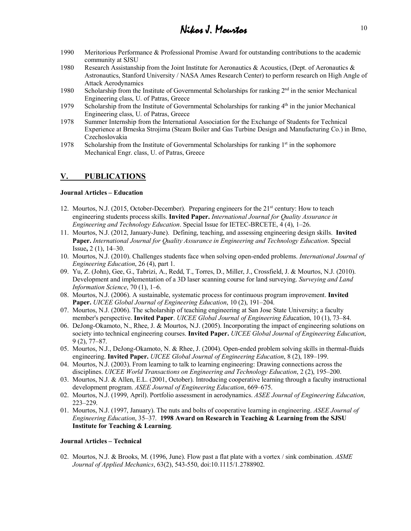- 1990 Meritorious Performance & Professional Promise Award for outstanding contributions to the academic community at SJSU
- 1980 Research Assistanship from the Joint Institute for Aeronautics & Acoustics, (Dept. of Aeronautics & Astronautics, Stanford University / NASA Ames Research Center) to perform research on High Angle of Attack Aerodynamics
- 1980 Scholarship from the Institute of Governmental Scholarships for ranking  $2<sup>nd</sup>$  in the senior Mechanical Engineering class, U. of Patras, Greece
- 1979 Scholarship from the Institute of Governmental Scholarships for ranking  $4<sup>th</sup>$  in the junior Mechanical Engineering class, U. of Patras, Greece
- 1978 Summer Internship from the International Association for the Exchange of Students for Technical Experience at Brneska Strojirna (Steam Boiler and Gas Turbine Design and Manufacturing Co.) in Brno, Czechoslovakia
- 1978 Scholarship from the Institute of Governmental Scholarships for ranking  $1<sup>st</sup>$  in the sophomore Mechanical Engr. class, U. of Patras, Greece

## **V. PUBLICATIONS**

#### **Journal Articles – Education**

- 12. Mourtos, N.J. (2015, October-December). Preparing engineers for the 21st century: How to teach engineering students process skills. **Invited Paper.** *International Journal for Quality Assurance in Engineering and Technology Education*. Special Issue for IETEC-BRCETE, 4 (4), 1–26.
- 11. Mourtos, N.J. (2012, January-June). Defining, teaching, and assessing engineering design skills. **Invited Paper.** *International Journal for Quality Assurance in Engineering and Technology Education*. Special Issue**,** 2 (1), 14–30.
- 10. Mourtos, N.J. (2010). Challenges students face when solving open-ended problems. *International Journal of Engineering Education*, 26 (4), part 1.
- 09. Yu, Z. (John), Gee, G., Tabrizi, A., Redd, T., Torres, D., Miller, J., Crossfield, J. & Mourtos, N.J. (2010). Development and implementation of a 3D laser scanning course for land surveying. *Surveying and Land Information Science*, 70 (1), 1–6.
- 08. Mourtos, N.J. (2006). A sustainable, systematic process for continuous program improvement. **Invited Paper.** *UICEE Global Journal of Engineering Education*, 10 (2), 191–204.
- 07. Mourtos, N.J. (2006). The scholarship of teaching engineering at San Jose State University; a faculty member's perspective. **Invited Paper**. *UICEE Global Journal of Engineering Ed*ucation, 10 (1), 73–84.
- 06. DeJong-Okamoto, N., Rhee, J. & Mourtos, N.J. (2005). Incorporating the impact of engineering solutions on society into technical engineering courses. **Invited Paper.** *UICEE Global Journal of Engineering Education*, 9 (2), 77–87.
- 05. Mourtos, N.J., DeJong-Okamoto, N. & Rhee, J. (2004). Open-ended problem solving skills in thermal-fluids engineering. **Invited Paper.** *UICEE Global Journal of Engineering Education*, 8 (2), 189–199.
- 04. Mourtos, N.J. (2003). From learning to talk to learning engineering: Drawing connections across the disciplines. *UICEE World Transactions on Engineering and Technology Education*, 2 (2), 195–200.
- 03. Mourtos, N.J. & Allen, E.L. (2001, October). Introducing cooperative learning through a faculty instructional development program. *ASEE Journal of Engineering Education*, 669–675.
- 02. Mourtos, N.J. (1999, April). Portfolio assessment in aerodynamics. *ASEE Journal of Engineering Education*, 223–229.
- 01. Mourtos, N.J. (1997, January). The nuts and bolts of cooperative learning in engineering. *ASEE Journal of Engineering Education*, 35–37. **1998 Award on Research in Teaching & Learning from the SJSU Institute for Teaching & Learning**.

#### **Journal Articles – Technical**

02. Mourtos, N.J. & Brooks, M. (1996, June). Flow past a flat plate with a vortex / sink combination. *ASME Journal of Applied Mechanics*, 63(2), 543-550, doi:10.1115/1.2788902.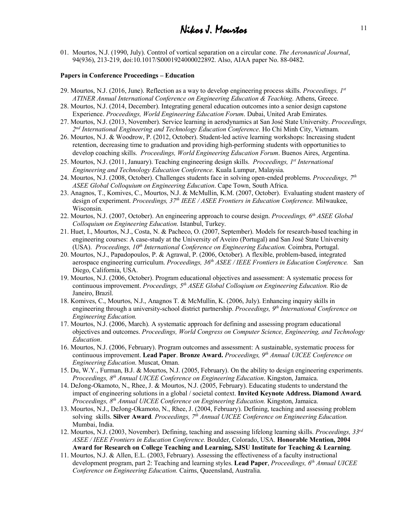01. Mourtos, N.J. (1990, July). Control of vortical separation on a circular cone. *The Aeronautical Journal*, 94(936), 213-219, doi:10.1017/S0001924000022892. Also, AIAA paper No. 88-0482.

#### **Papers in Conference Proceedings – Education**

- 29. Mourtos, N.J. (2016, June). Reflection as a way to develop engineering process skills. *Proceedings, 1st ATINER Annual International Conference on Engineering Education & Teaching*. Athens, Greece.
- 28. Mourtos, N.J. (2014, December). Integrating general education outcomes into a senior design capstone Experience. *Proceedings, World Engineering Education Forum*. Dubai, United Arab Emirates.
- 27. Mourtos, N.J. (2013, November). Service learning in aerodynamics at San José State University. *Proceedings, 2nd International Engineering and Technology Education Conference*. Ho Chi Minh City, Vietnam.
- 26. Mourtos, N.J. & Woodrow, P. (2012, October). Student-led active learning workshops: Increasing student retention, decreasing time to graduation and providing high-performing students with opportunities to develop coaching skills. *Proceedings, World Engineering Education Forum*. Buenos Aires, Argentina.
- 25. Mourtos, N.J. (2011, January). Teaching engineering design skills. *Proceedings, 1st International Engineering and Technology Education Conference*. Kuala Lumpur, Malaysia.
- 24. Mourtos, N.J. (2008, October). Challenges students face in solving open-ended problems. *Proceedings, 7th ASEE Global Colloquium on Engineering Education*. Cape Town, South Africa.
- 23. Anagnos, T., Komives, C., Mourtos, N.J. & McMullin, K.M. (2007, October). Evaluating student mastery of design of experiment. *Proceedings, 37th IEEE / ASEE Frontiers in Education Conference.* Milwaukee, Wisconsin.
- 22. Mourtos, N.J. (2007, October). An engineering approach to course design. *Proceedings, 6th ASEE Global Colloquium on Engineering Education*. Istanbul, Turkey.
- 21. Huet, I., Mourtos, N.J., Costa, N. & Pacheco, O. (2007, September). Models for research-based teaching in engineering courses: A case-study at the University of Aveiro (Portugal) and San José State University (USA). *Proceedings, 10th International Conference on Engineering Education.* Coimbra, Portugal.
- 20. Mourtos, N.J., Papadopoulos, P. & Agrawal, P. (2006, October). A flexible, problem-based, integrated aerospace engineering curriculum. *Proceedings, 36th ASEE / IEEE Frontiers in Education Conference.* San Diego, California, USA.
- 19. Mourtos, N.J. (2006, October). Program educational objectives and assessment: A systematic process for continuous improvement. *Proceedings, 5th ASEE Global Colloqium on Engineering Education.* Rio de Janeiro, Brazil.
- 18. Komives, C., Mourtos, N.J., Anagnos T. & McMullin, K. (2006, July). Enhancing inquiry skills in engineering through a university-school district partnership. *Proceedings, 9th International Conference on Engineering Education.*
- 17. Mourtos, N.J. (2006, March). A systematic approach for defining and assessing program educational objectives and outcomes. *Proceedings, World Congress on Computer Science, Engineering, and Technology Education*.
- 16. Mourtos, N.J. (2006, February). Program outcomes and assessment: A sustainable, systematic process for continuous improvement. **Lead Paper**. **Bronze Award.** *Proceedings, 9th Annual UICEE Conference on Engineering Education*. Muscat, Oman.
- 15. Du, W.Y., Furman, B.J. & Mourtos, N.J. (2005, February). On the ability to design engineering experiments. *Proceedings, 8th Annual UICEE Conference on Engineering Education*. Kingston, Jamaica.
- 14. DeJong-Okamoto, N., Rhee, J. & Mourtos, N.J. (2005, February). Educating students to understand the impact of engineering solutions in a global / societal context. **Invited Keynote Address. Diamond Award***. Proceedings, 8th Annual UICEE Conference on Engineering Education.* Kingston, Jamaica.
- 13. Mourtos, N.J., DeJong-Okamoto, N., Rhee, J. (2004, February). Defining, teaching and assessing problem solving skills. **Silver Award***. Proceedings, 7th Annual UICEE Conference on Engineering Education.* Mumbai, India.
- 12. Mourtos, N.J. (2003, November). Defining, teaching and assessing lifelong learning skills. *Proceedings, 33rd ASEE / IEEE Frontiers in Education Conference.* Boulder, Colorado, USA. **Honorable Mention, 2004 Award for Research on College Teaching and Learning, SJSU Institute for Teaching & Learning**.
- 11. Mourtos, N.J. & Allen, E.L. (2003, February). Assessing the effectiveness of a faculty instructional development program, part 2: Teaching and learning styles. **Lead Paper**, *Proceedings, 6th Annual UICEE Conference on Engineering Education.* Cairns, Queensland, Australia.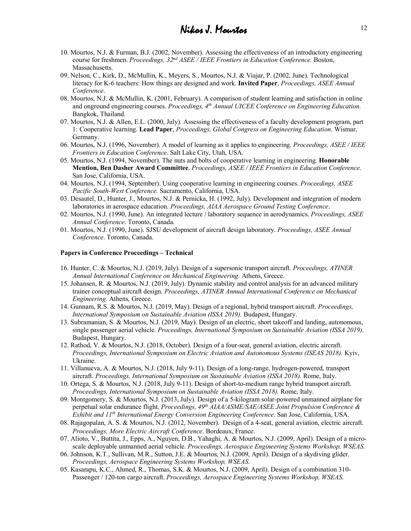- 10. Mourtos, N.J. & Furman, B.J. (2002, November). Assessing the effectiveness of an introductory engineering course for freshmen. *Proceedings, 32nd ASEE / IEEE Frontiers in Education Conference.* Boston, Massachusetts.
- 09. Nelson, C., Kirk, D., McMullin, K., Meyers, S., Mourtos, N.J. & Viajar, P. (2002, June). Technological literacy for K-6 teachers: How things are designed and work. **Invited Paper**, *Proceedings, ASEE Annual Conference*.
- 08. Mourtos, N.J. & McMullin, K. (2001, February). A comparison of student learning and satisfaction in online and onground engineering courses. *Proceedings, 4th Annual UICEE Conference on Engineering Education.* Bangkok, Thailand.
- 07. Mourtos, N.J. & Allen, E.L. (2000, July). Assessing the effectiveness of a faculty development program, part 1: Cooperative learning. **Lead Paper**, *Proceedings, Global Congress on Engineering Education*. Wismar, Germany.
- 06. Mourtos, N.J. (1996, November). A model of learning as it applies to engineering. *Proceedings, ASEE / IEEE Frontiers in Education Conference*. Salt Lake City, Utah, USA.
- 05. Mourtos, N.J. (1994, November). The nuts and bolts of cooperative learning in engineering. **Honorable Mention, Ben Dasher Award Committee**. *Proceedings, ASEE / IEEE Frontiers in Education Conference.*  San Jose, California, USA.
- 04. Mourtos, N.J. (1994, September). Using cooperative learning in engineering courses. *Proceedings, ASEE Pacific South-West Conference.* Sacramento, California, USA.
- 03. Desautel, D., Hunter, J., Mourtos, N.J. & Pernicka, H. (1992, July). Development and integration of modern laboratories in aerospace education. *Proceedings, AIAA Aerospace Ground Testing Conference*.
- 02. Mourtos, N.J. (1990, June). An integrated lecture / laboratory sequence in aerodynamics. *Proceedings, ASEE Annual Conference*. Toronto, Canada.
- 01. Mourtos, N.J. (1990, June). SJSU development of aircraft design laboratory. *Proceedings, ASEE Annual Conference*. Toronto, Canada.

#### **Papers in Conference Proceedings – Technical**

- 16. Hunter, C. & Mourtos, N.J. (2019, July). Design of a supersonic transport aircraft. *Proceedings, ATINER Annual International Conference on Mechanical Engineering.* Athens, Greece.
- 15. Johansen, R. & Mourtos, N.J. (2019, July). Dynamic stability and control analysis for an advanced military trainer conceptual aircraft design. *Proceedings, ATINER Annual International Conference on Mechanical Engineering.* Athens, Greece.
- 14. Gunnam, R.S. & Mourtos, N.J. (2019, May). Design of a regional, hybrid transport aircraft. *Proceedings, International Symposium on Sustainable Aviation (ISSA 2019).* Budapest, Hungary.
- 13. Subramanian, S. & Mourtos, N.J. (2019, May). Design of an electric, short takeoff and landing, autonomous, single passenger aerial vehicle. *Proceedings, International Symposium on Sustainable Aviation (ISSA 2019).* Budapest, Hungary.
- 12. Rathod, V. & Mourtos, N.J. (2018, October). Design of a four-seat, general aviation, electric aircraft. *Proceedings, International Symposium on Electric Aviation and Autonomous Systems (ISEAS 2018).* Kyiv, Ukraine.
- 11. Villanueva, A. & Mourtos, N.J. (2018, July 9-11). Design of a long-range, hydrogen-powered, transport aircraft. *Proceedings, International Symposium on Sustainable Aviation (ISSA 2018).* Rome, Italy.
- 10. Ortega, S. & Mourtos, N.J. (2018, July 9-11). Design of short-to-medium range hybrid transport aircraft. *Proceedings, International Symposium on Sustainable Aviation (ISSA 2018).* Rome, Italy.
- 09. Montgomery, S. & Mourtos, N.J. (2013, July). Design of a 5-kilogram solar-powered unmanned airplane for perpetual solar endurance flight. *Proceedings, 49th AIAA/ASME/SAE/ASEE Joint Propulsion Conference & Exhibit and 11th International Energy Conversion Engineering Conference*. San Jose, California, USA.
- 08. Rajagopalan, A. S. & Mourtos, N.J. (2012, November). Design of a 4-seat, general aviation, electric aircraft. *Proceedings, More Electric Aircraft Conference*. Bordeaux, France.
- 07. Alioto, V., Buttita, J., Epps, A., Nguyen, D.B., Yahaghi, A. & Mourtos, N.J. (2009, April). Design of a microscale deployable unmanned aerial vehicle. *Proceedings, Aerospace Engineering Systems Workshop, WSEAS*.
- 06. Johnson, K.T., Sullivan, M.R., Sutton, J.E. & Mourtos, N.J. (2009, April). Design of a skydiving glider. *Proceedings, Aerospace Engineering Systems Workshop, WSEAS*.
- 05. Kasarapu, K.C., Ahmed, R., Thomas, S.K. & Mourtos, N.J. (2009, April). Design of a combination 310- Passenger / 120-ton cargo aircraft. *Proceedings, Aerospace Engineering Systems Workshop, WSEAS*.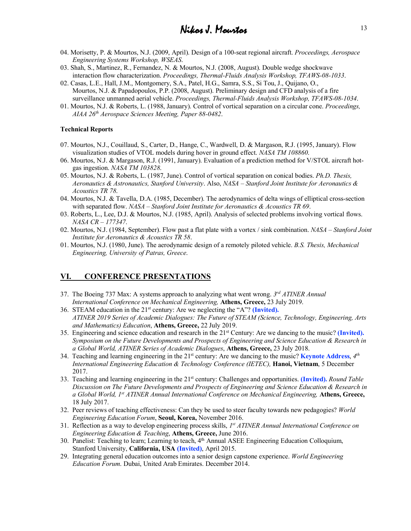- 04. Morisetty, P. & Mourtos, N.J. (2009, April). Design of a 100-seat regional aircraft. *Proceedings, Aerospace Engineering Systems Workshop, WSEAS*.
- 03. Shah, S., Martinez, R., Fernandez, N. & Mourtos, N.J. (2008, August). Double wedge shockwave interaction flow characterization. *Proceedings, Thermal-Fluids Analysis Workshop, TFAWS-08-1033*.
- 02. Casas, L.E., Hall, J.M., Montgomery, S.A., Patel, H.G., Samra, S.S., Si Tou, J., Quijano, O., Mourtos, N.J. & Papadopoulos, P.P. (2008, August). Preliminary design and CFD analysis of a fire surveillance unmanned aerial vehicle. *Proceedings, Thermal-Fluids Analysis Workshop, TFAWS-08-1034*.
- 01. Mourtos, N.J. & Roberts, L. (1988, January). Control of vortical separation on a circular cone. *Proceedings, AIAA 26th Aerospace Sciences Meeting, Paper 88-0482*.

#### **Technical Reports**

- 07. Mourtos, N.J., Couillaud, S., Carter, D., Hange, C., Wardwell, D. & Margason, R.J. (1995, January). Flow visualization studies of VTOL models during hover in ground effect. *NASA TM 108860*.
- 06. Mourtos, N.J. & Margason, R.J. (1991, January). Evaluation of a prediction method for V/STOL aircraft hotgas ingestion. *NASA TM 103828*.
- 05. Mourtos, N.J. & Roberts, L. (1987, June). Control of vortical separation on conical bodies. *Ph.D. Thesis, Aeronautics & Astronautics, Stanford University*. Also, *NASA – Stanford Joint Institute for Aeronautics & Acoustics TR 78*.
- 04. Mourtos, N.J. & Tavella, D.A. (1985, December). The aerodynamics of delta wings of elliptical cross-section with separated flow. *NASA – Stanford Joint Institute for Aeronautics & Acoustics TR 69*.
- 03. Roberts, L., Lee, D.J. & Mourtos, N.J. (1985, April). Analysis of selected problems involving vortical flows. *NASA CR – 177347*.
- 02. Mourtos, N.J. (1984, September). Flow past a flat plate with a vortex / sink combination. *NASA – Stanford Joint Institute for Aeronautics & Acoustics TR 58*.
- 01. Mourtos, N.J. (1980, June). The aerodynamic design of a remotely piloted vehicle. *B.S. Thesis, Mechanical Engineering, University of Patras, Greece*.

### **VI. CONFERENCE PRESENTATIONS**

- 37. The Boeing 737 Max: A systems approach to analyzing what went wrong. *3rd ATINER Annual International Conference on Mechanical Engineering,* **Athens, Greece,** 23 July 2019.
- 36. STEAM education in the 21st century: Are we neglecting the "A"? **(Invited).** *ATINER 2019 Series of Academic Dialogues: The Future of STEAM (Science, Technology, Engineering, Arts and Mathematics) Education*, **Athens, Greece,** 22 July 2019.
- 35. Engineering and science education and research in the 21st Century: Are we dancing to the music? **(Invited).** *Symposium on the Future Developments and Prospects of Engineering and Science Education & Research in a Global World, ATINER Series of Academic Dialogues*, **Athens, Greece,** 23 July 2018.
- 34. Teaching and learning engineering in the 21st century: Are we dancing to the music? **Keynote Address**, *4th International Engineering Education & Technology Conference (IETEC),* **Hanoi, Vietnam**, 5 December 2017.
- 33. Teaching and learning engineering in the 21st century: Challenges and opportunities. **(Invited).** *Round Table Discussion on The Future Developments and Prospects of Engineering and Science Education & Research in a Global World, 1st ATINER Annual International Conference on Mechanical Engineering,* **Athens, Greece,** 18 July 2017.
- 32. Peer reviews of teaching effectiveness: Can they be used to steer faculty towards new pedagogies? *World Engineering Education Forum*, **Seoul, Korea,** November 2016.
- 31. Reflection as a way to develop engineering process skills, *1st ATINER Annual International Conference on Engineering Education & Teaching*, **Athens, Greece,** June 2016.
- 30. Panelist: Teaching to learn; Learning to teach,  $4<sup>th</sup>$  Annual ASEE Engineering Education Colloquium, Stanford University, **California, USA (Invited)**, April 2015.
- 29. Integrating general education outcomes into a senior design capstone experience. *World Engineering Education Forum*. Dubai, United Arab Emirates. December 2014.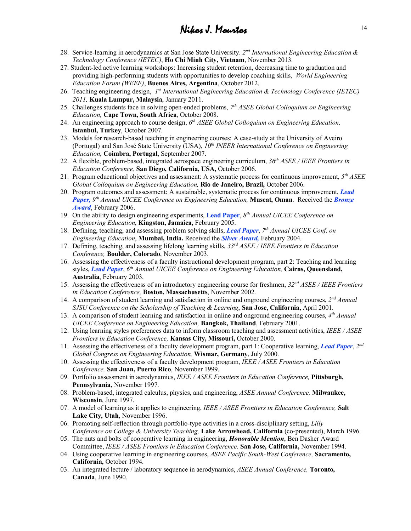- 28. Service-learning in aerodynamics at San Jose State University. *2nd International Engineering Education & Technology Conference (IETEC)*, **Ho Chi Minh City, Vietnam**, November 2013.
- 27. Student-led active learning workshops: Increasing student retention, decreasing time to graduation and providing high-performing students with opportunities to develop coaching skills, *World Engineering Education Forum (WEEF)*, **Buenos Aires, Argentina**, October 2012.
- 26. Teaching engineering design, *1st International Engineering Education & Technology Conference (IETEC) 2011,* **Kuala Lumpur, Malaysia**, January 2011.
- 25. Challenges students face in solving open-ended problems, *7th ASEE Global Colloquium on Engineering Education,* **Cape Town, South Africa**, October 2008.
- 24. An engineering approach to course design, *6th ASEE Global Colloquium on Engineering Education,* **Istanbul, Turkey**, October 2007.
- 23. Models for research-based teaching in engineering courses: A case-study at the University of Aveiro (Portugal) and San José State University (USA), *10th INEER International Conference on Engineering Education,* **Coimbra, Portugal**, September 2007.
- 22. A flexible, problem-based, integrated aerospace engineering curriculum, *36th ASEE / IEEE Frontiers in Education Conference,* **San Diego, California, USA,** October 2006.
- 21. Program educational objectives and assessment: A systematic process for continuous improvement, *5th ASEE Global Colloquium on Engineering Education,* **Rio de Janeiro, Brazil,** October 2006.
- 20. Program outcomes and assessment: A sustainable, systematic process for continuous improvement, *Lead Paper, 9th Annual UICEE Conference on Engineering Education,* **Muscat, Oman**. Received the *Bronze Award*, February 2006.
- 19. On the ability to design engineering experiments, **Lead Paper**, *8th Annual UICEE Conference on Engineering Education*, **Kingston, Jamaica,** February 2005.
- 18. Defining, teaching, and assessing problem solving skills, *Lead Paper*, *7th Annual UICEE Conf. on Engineering Education*, **Mumbai, India.** Received the *Silver Award,* February 2004.
- 17. Defining, teaching, and assessing lifelong learning skills, *33rd ASEE / IEEE Frontiers in Education Conference,* **Boulder, Colorado**, November 2003.
- 16. Assessing the effectiveness of a faculty instructional development program, part 2: Teaching and learning styles, *Lead Paper*, *6th Annual UICEE Conference on Engineering Education,* **Cairns, Queensland, Australia**, February 2003.
- 15. Assessing the effectiveness of an introductory engineering course for freshmen, *32nd ASEE / IEEE Frontiers in Education Conference,* **Boston, Massachusetts**, November 2002.
- 14. A comparison of student learning and satisfaction in online and onground engineering courses, *2nd Annual SJSU Conference on the Scholarship of Teaching & Learning*, **San Jose, California,** April 2001.
- 13. A comparison of student learning and satisfaction in online and onground engineering courses, *4th Annual UICEE Conference on Engineering Education,* **Bangkok, Thailand**, February 2001.
- 12. Using learning styles preferences data to inform classroom teaching and assessment activities, *IEEE / ASEE Frontiers in Education Conference,* **Kansas City, Missouri,** October 2000.
- 11. Assessing the effectiveness of a faculty development program, part 1: Cooperative learning, *Lead Paper*, *2nd Global Congress on Engineering Education,* **Wismar, Germany**, July 2000.
- 10. Assessing the effectiveness of a faculty development program, *IEEE / ASEE Frontiers in Education Conference,* **San Juan, Puerto Rico**, November 1999.
- 09. Portfolio assessment in aerodynamics, *IEEE / ASEE Frontiers in Education Conference,* **Pittsburgh, Pennsylvania,** November 1997.
- 08. Problem-based, integrated calculus, physics, and engineering, *ASEE Annual Conference,* **Milwaukee, Wisconsin**, June 1997.
- 07. A model of learning as it applies to engineering, *IEEE / ASEE Frontiers in Education Conference,* **Salt Lake City, Utah**, November 1996.
- 06. Promoting self-reflection through portfolio-type activities in a cross-disciplinary setting, *Lilly Conference on College & University Teaching,* **Lake Arrowhead, California** (co-presented), March 1996.
- 05. The nuts and bolts of cooperative learning in engineering, *Honorable Mention*, Ben Dasher Award Committee, *IEEE / ASEE Frontiers in Education Conference,* **San Jose, California,** November 1994.
- 04. Using cooperative learning in engineering courses, *ASEE Pacific South-West Conference,* **Sacramento, California,** October 1994.
- 03. An integrated lecture / laboratory sequence in aerodynamics, *ASEE Annual Conference,* **Toronto, Canada**, June 1990.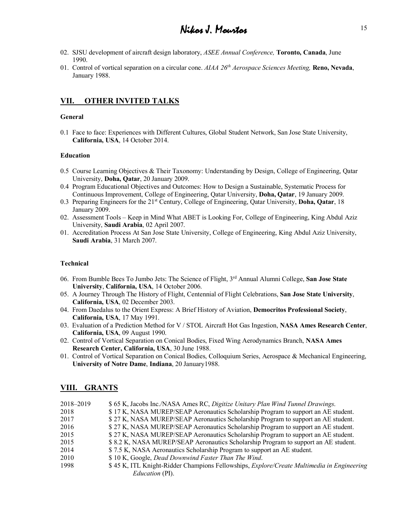- 02. SJSU development of aircraft design laboratory, *ASEE Annual Conference,* **Toronto, Canada**, June 1990.
- 01. Control of vortical separation on a circular cone. *AIAA 26th Aerospace Sciences Meeting,* **Reno, Nevada**, January 1988.

## **VII. OTHER INVITED TALKS**

#### **General**

0.1 Face to face: Experiences with Different Cultures, Global Student Network, San Jose State University, **California, USA**, 14 October 2014.

#### **Education**

- 0.5 Course Learning Objectives & Their Taxonomy: Understanding by Design, College of Engineering, Qatar University, **Doha, Qatar**, 20 January 2009.
- 0.4 Program Educational Objectives and Outcomes: How to Design a Sustainable, Systematic Process for Continuous Improvement, College of Engineering, Qatar University, **Doha, Qatar**, 19 January 2009.
- 0.3 Preparing Engineers for the 21st Century, College of Engineering, Qatar University, **Doha, Qatar**, 18 January 2009.
- 02. Assessment Tools Keep in Mind What ABET is Looking For, College of Engineering, King Abdul Aziz University, **Saudi Arabia**, 02 April 2007.
- 01. Accreditation Process At San Jose State University, College of Engineering, King Abdul Aziz University, **Saudi Arabia**, 31 March 2007.

#### **Technical**

- 06. From Bumble Bees To Jumbo Jets: The Science of Flight, 3rd Annual Alumni College, **San Jose State University**, **California, USA**, 14 October 2006.
- 05. A Journey Through The History of Flight, Centennial of Flight Celebrations, **San Jose State University**, **California, USA**, 02 December 2003.
- 04. From Daedalus to the Orient Express: A Brief History of Aviation, **Democritos Professional Society**, **California, USA**, 17 May 1991.
- 03. Evaluation of a Prediction Method for V / STOL Aircraft Hot Gas Ingestion, **NASA Ames Research Center**, **California, USA**, 09 August 1990.
- 02. Control of Vortical Separation on Conical Bodies, Fixed Wing Aerodynamics Branch, **NASA Ames Research Center, California, USA**, 30 June 1988.
- 01. Control of Vortical Separation on Conical Bodies, Colloquium Series, Aerospace & Mechanical Engineering, **University of Notre Dame**, **Indiana**, 20 January1988.

### **VIII. GRANTS**

| 2018–2019 | \$65 K, Jacobs Inc./NASA Ames RC, Digitize Unitary Plan Wind Tunnel Drawings.                    |
|-----------|--------------------------------------------------------------------------------------------------|
| 2018      | \$17 K, NASA MUREP/SEAP Aeronautics Scholarship Program to support an AE student.                |
| 2017      | \$27 K, NASA MUREP/SEAP Aeronautics Scholarship Program to support an AE student.                |
| 2016      | \$27 K, NASA MUREP/SEAP Aeronautics Scholarship Program to support an AE student.                |
| 2015      | \$27 K, NASA MUREP/SEAP Aeronautics Scholarship Program to support an AE student.                |
| 2015      | \$8.2 K, NASA MUREP/SEAP Aeronautics Scholarship Program to support an AE student.               |
| 2014      | \$7.5 K, NASA Aeronautics Scholarship Program to support an AE student.                          |
| 2010      | \$10 K, Google, Dead Downwind Faster Than The Wind.                                              |
| 1998      | \$45 K, ITL Knight-Ridder Champions Fellowships, <i>Explore/Create Multimedia in Engineering</i> |
|           | <i>Education</i> (PI).                                                                           |
|           |                                                                                                  |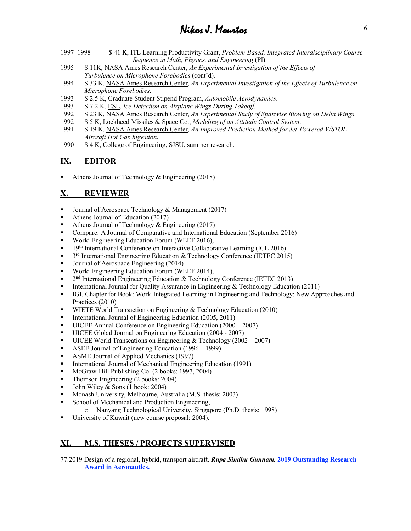- Nikos J. Mourtos <sup>16</sup>
- 1997–1998 \$ 41 K, ITL Learning Productivity Grant, *Problem-Based, Integrated Interdisciplinary Course-Sequence in Math, Physics, and Engineering* (PI).
- 1995 \$ 11K, NASA Ames Research Center, *An Experimental Investigation of the Effects of Turbulence on Microphone Forebodies* (cont'd).
- 1994 \$ 33 K, NASA Ames Research Center, *An Experimental Investigation of the Effects of Turbulence on Microphone Forebodies*.
- 1993 \$ 2.5 K, Graduate Student Stipend Program, *Automobile Aerodynamics*.
- 1993 \$ 7.2 K, ESL, *Ice Detection on Airplane Wings During Takeoff*.
- 1992 \$ 23 K, NASA Ames Research Center, *An Experimental Study of Spanwise Blowing on Delta Wings*.
- 1992 \$ 5 K, Lockheed Missiles & Space Co., *Modeling of an Attitude Control System*.
- 1991 \$ 19 K, NASA Ames Research Center, *An Improved Prediction Method for Jet-Powered V/STOL Aircraft Hot Gas Ingestion*.
- 1990 \$ 4 K, College of Engineering, SJSU, summer research.

## **IX. EDITOR**

§ Athens Journal of Technology & Engineering (2018)

## **X. REVIEWER**

- Journal of Aerospace Technology & Management (2017)
- Athens Journal of Education (2017)
- Athens Journal of Technology  $&$  Engineering (2017)
- Compare: A Journal of Comparative and International Education (September 2016)
- World Engineering Education Forum (WEEF 2016),
- 19<sup>th</sup> International Conference on Interactive Collaborative Learning (ICL 2016)
- $\bullet$  3<sup>rd</sup> International Engineering Education & Technology Conference (IETEC 2015)
- Journal of Aerospace Engineering (2014)
- World Engineering Education Forum (WEEF 2014),
- $\bullet$  2<sup>nd</sup> International Engineering Education & Technology Conference (IETEC 2013)
- International Journal for Ouality Assurance in Engineering & Technology Education (2011)
- § IGI, Chapter for Book: Work-Integrated Learning in Engineering and Technology: New Approaches and Practices (2010)
- WIETE World Transaction on Engineering & Technology Education (2010)
- International Journal of Engineering Education (2005, 2011)
- UICEE Annual Conference on Engineering Education (2000 2007)
- UICEE Global Journal on Engineering Education (2004 2007)
- UICEE World Transcations on Engineering  $& \text{Technology} (2002 2007)$
- ASEE Journal of Engineering Education (1996 1999)
- ASME Journal of Applied Mechanics (1997)
- International Journal of Mechanical Engineering Education (1991)
- McGraw-Hill Publishing Co. (2 books: 1997, 2004)
- Thomson Engineering (2 books: 2004)
- John Wiley  $& Sons (1 book: 2004)$
- Monash University, Melbourne, Australia (M.S. thesis: 2003)
- School of Mechanical and Production Engineering,
	- o Nanyang Technological University, Singapore (Ph.D. thesis: 1998)
- University of Kuwait (new course proposal: 2004).

## **XI. M.S. THESES / PROJECTS SUPERVISED**

77.2019 Design of a regional, hybrid, transport aircraft. *Rupa Sindhu Gunnam.* **2019 Outstanding Research Award in Aeronautics.**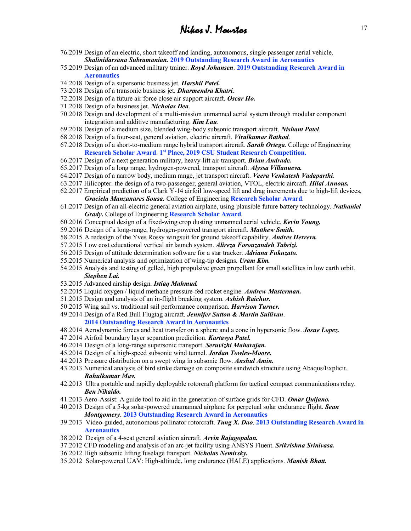- 76.2019 Design of an electric, short takeoff and landing, autonomous, single passenger aerial vehicle. *Shalinidarsana Subramanian.* **2019 Outstanding Research Award in Aeronautics**
- 75.2019 Design of an advanced military trainer. *Royd Johansen*. **2019 Outstanding Research Award in Aeronautics**
- 74.2018 Design of a supersonic business jet. *Harshil Patel.*
- 73.2018 Design of a transonic business jet. *Dharmendra Khatri.*
- 72.2018 Design of a future air force close air support aircraft. *Oscar Ho.*
- 71.2018 Design of a business jet. *Nicholas Dea*.
- 70.2018 Design and development of a multi-mission unmanned aerial system through modular component integration and additive manufacturing. *Kim Lau*.
- 69.2018 Design of a medium size, blended wing-body subsonic transport aircraft. *Nishant Patel*.
- 68.2018 Design of a four-seat, general aviation, electric aircraft. *Viralkumar Rathod*.
- 67.2018 Design of a short-to-medium range hybrid transport aircraft. *Sarah Ortega*. College of Engineering **Research Scholar Award**. **1st Place, 2019 CSU Student Research Competition.**
- 66.2017 Design of a next generation military, heavy-lift air transport. *Brian Andrade.*
- 65.2017 Design of a long range, hydrogen-powered, transport aircraft. *Alyssa Villanueva.*
- 64.2017 Design of a narrow body, medium range, jet transport aircraft. *Veera Venkatesh Vadaparthi.*
- 63.2017 Hilicopter: the design of a two-passenger, general aviation, VTOL, electric aircraft. *Hilal Annous.*
- 62.2017 Empirical prediction of a Clark Y-14 airfoil low-speed lift and drag increments due to high-lift devices, *Graciela Manzanares Sousa.* College of Engineering **Research Scholar Award**.
- 61.2017 Design of an all-electric general aviation airplane, using plausible future battery technology. *Nathaniel Grady.* College of Engineering **Research Scholar Award**.
- 60.2016 Conceptual design of a fixed-wing crop dusting unmanned aerial vehicle. *Kevin Young.*
- 59.2016 Design of a long-range, hydrogen-powered transport aircraft. *Matthew Smith.*
- 58.2015 A redesign of the Yves Rossy wingsuit for ground takeoff capability. *Andres Herrera.*
- 57.2015 Low cost educational vertical air launch system. *Alireza Forouzandeh Tabrizi.*
- 56.2015 Design of attitude determination software for a star tracker. *Adriana Fukuzato.*
- 55.2015 Numerical analysis and optimization of wing-tip designs. *Uram Kim.*
- 54.2015 Analysis and testing of gelled, high propulsive green propellant for small satellites in low earth orbit. *Stephen Lai.*
- 53.2015 Advanced airship design. *Istiaq Mahmud.*
- 52.2015 Liquid oxygen / liquid methane pressure-fed rocket engine. *Andrew Masterman.*
- 51.2015 Design and analysis of an in-flight breaking system. *Ashish Raichur.*
- 50.2015 Wing sail vs. traditional sail performance comparison. *Harrison Turner.*
- 49.2014 Design of a Red Bull Flugtag aircraft. *Jennifer Sutton & Martin Sullivan*.
	- **2014 Outstanding Research Award in Aeronautics**
- 48.2014 Aerodynamic forces and heat transfer on a sphere and a cone in hypersonic flow. *Josue Lopez.*
- 47.2014 Airfoil boundary layer separation predicition. *Kartavya Patel.*
- 46.2014 Design of a long-range supersonic transport. *Seruvizhi Maharajan.*
- 45.2014 Design of a high-speed subsonic wind tunnel. *Jordan Towles-Moore.*
- 44.2013 Pressure distribution on a swept wing in subsonic flow. *Anshul Amin.*
- 43.2013 Numerical analysis of bird strike damage on composite sandwich structure using Abaqus/Explicit. *Rahulkumar Mav.*
- 42.2013 Ultra portable and rapidly deployable rotorcraft platform for tactical compact communications relay. *Ben Nikaido.*
- 41.2013 Aero-Assist: A guide tool to aid in the generation of surface grids for CFD. *Omar Quijano.*
- 40.2013 Design of a 5-kg solar-powered unamanned airplane for perpetual solar endurance flight. *Sean Montgomery*. **2013 Outstanding Research Award in Aeronautics**
- 39.2013 Video-guided, autonomous pollinator rotorcraft. *Tung X. Dao*. **2013 Outstanding Research Award in Aeronautics**
- 38.2012 Design of a 4-seat general aviation aircraft. *Arvin Rajagopalan.*
- 37.2012 CFD modeling and analysis of an arc-jet facility using ANSYS Fluent. *Srikrishna Srinivasa.*
- 36.2012 High subsonic lifting fuselage transport. *Nicholas Nemirsky.*
- 35.2012 Solar-powered UAV: High-altitude, long endurance (HALE) applications. *Manish Bhatt.*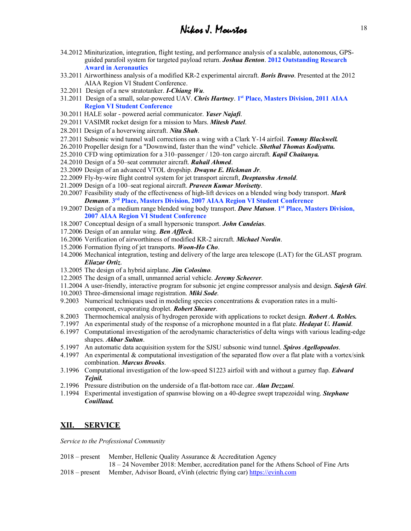- 34.2012 Miniturization, integration, flight testing, and performance analysis of a scalable, autonomous, GPSguided parafoil system for targeted payload return. *Joshua Benton*. **2012 Outstanding Research Award in Aeronautics**
- 33.2011 Airworthiness analysis of a modified KR-2 experimental aircraft. *Boris Bravo*. Presented at the 2012 AIAA Region VI Student Conference.
- 32.2011 Design of a new stratotanker. *I-Chiang Wu*.
- 31.2011 Design of a small, solar-powered UAV. *Chris Hartney*. **1st Place, Masters Division, 2011 AIAA Region VI Student Conference**
- 30.2011 HALE solar powered aerial communicator. *Yaser Najafi*.
- 29.2011 VASIMR rocket design for a mission to Mars. *Mitesh Patel*.
- 28.2011 Design of a hoverwing aircraft. *Nita Shah*.
- 27.2011 Subsonic wind tunnel wall corrections on a wing with a Clark Y-14 airfoil. *Tommy Blackwell.*
- 26.2010 Propeller design for a "Downwind, faster than the wind" vehicle. *Shethal Thomas Kodiyattu.*
- 25.2010 CFD wing optimization for a 310–passenger / 120–ton cargo aircraft. *Kapil Chaitanya.*
- 24.2010 Design of a 50–seat commuter aircraft. *Rahail Ahmed*.
- 23.2009 Design of an advanced VTOL dropship. *Dwayne E. Hickman Jr*.
- 22.2009 Fly-by-wire flight control system for jet transport aircraft, *Deeptanshu Arnold*.
- 21.2009 Design of a 100–seat regional aircraft. *Praveen Kumar Morisetty*.
- 20.2007 Feasibility study of the effectiveness of high-lift devices on a blended wing body transport. *Mark Demann*. **3rd Place, Masters Division, 2007 AIAA Region VI Student Conference**
- 19.2007 Design of a medium range blended wing body transport. *Dave Matson*. **1st Place, Masters Division, 2007 AIAA Region VI Student Conference**
- 18.2007 Conceptual design of a small hypersonic transport. *John Candeias*.
- 17.2006 Design of an annular wing. *Ben Affleck*.
- 16.2006 Verification of airworthiness of modified KR-2 aircraft. *Michael Nordin*.
- 15.2006 Formation flying of jet transports. *Woon-Ho Cho*.
- 14.2006 Mechanical integration, testing and delivery of the large area telescope (LAT) for the GLAST program. *Eliazar Ortiz*.
- 13.2005 The design of a hybrid airplane. *Jim Colosimo*.
- 12.2005 The design of a small, unmanned aerial vehicle. *Jeremy Scheerer*.
- 11.2004 A user-friendly, interactive program for subsonic jet engine compressor analysis and design. *Sajesh Giri*.
- 10.2003 Three-dimensional image registration. *Miki Sode*.
- 9.2003 Numerical techniques used in modeling species concentrations  $\&$  evaporation rates in a multicomponent, evaporating droplet. *Robert Shearer*.
- 8.2003 Thermochemical analysis of hydrogen peroxide with applications to rocket design. *Robert A. Robles.*
- 7.1997 An experimental study of the response of a microphone mounted in a flat plate. *Hedayat U. Hamid*.
- 6.1997 Computational investigation of the aerodynamic characteristics of delta wings with various leading-edge shapes. *Akbar Sultan*.
- 5.1997 An automatic data acquisition system for the SJSU subsonic wind tunnel. *Spiros Agellopoulos*.
- 4.1997 An experimental & computational investigation of the separated flow over a flat plate with a vortex/sink combination. *Marcus Brooks*.
- 3.1996 Computational investigation of the low-speed S1223 airfoil with and without a gurney flap. *Edward Tejnil.*
- 2.1996 Pressure distribution on the underside of a flat-bottom race car. *Alan Dezzani*.
- 1.1994 Experimental investigation of spanwise blowing on a 40-degree swept trapezoidal wing. *Stephane Couillaud.*

### **XII. SERVICE**

*Service to the Professional Community*

- 2018 present Member, Hellenic Quality Assurance & Accreditation Agency
- 18 24 November 2018: Member, accreditation panel for the Athens School of Fine Arts 2018 – present Member, Advisor Board, eVinh (electric flying car) https://evinh.com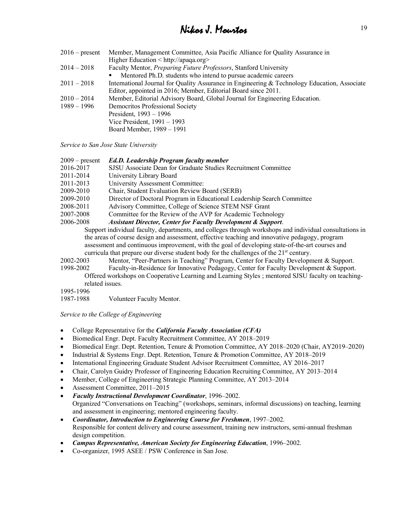| Member, Management Committee, Asia Pacific Alliance for Quality Assurance in                 |
|----------------------------------------------------------------------------------------------|
| Higher Education $\langle$ http://apaga.org $\rangle$                                        |
| Faculty Mentor, Preparing Future Professors, Stanford University                             |
| Mentored Ph.D. students who intend to pursue academic careers                                |
| International Journal for Quality Assurance in Engineering & Technology Education, Associate |
| Editor, appointed in 2016; Member, Editorial Board since 2011.                               |
| Member, Editorial Advisory Board, Global Journal for Engineering Education.                  |
| Democritos Professional Society                                                              |
| President, $1993 - 1996$                                                                     |
| Vice President, $1991 - 1993$                                                                |
| Board Member, 1989 – 1991                                                                    |
|                                                                                              |

*Service to San Jose State University* 

| $2009$ – present                                                                       | <b>Ed.D. Leadership Program faculty member</b>                           |  |  |
|----------------------------------------------------------------------------------------|--------------------------------------------------------------------------|--|--|
| 2016-2017                                                                              | SJSU Associate Dean for Graduate Studies Recruitment Committee           |  |  |
| 2011-2014                                                                              | University Library Board                                                 |  |  |
| 2011-2013                                                                              | University Assessment Committee:                                         |  |  |
| 2009-2010                                                                              | Chair, Student Evaluation Review Board (SERB)                            |  |  |
| 2009-2010                                                                              | Director of Doctoral Program in Educational Leadership Search Committee  |  |  |
| 2008-2011                                                                              | Advisory Committee, College of Science STEM NSF Grant                    |  |  |
| 2007-2008                                                                              | Committee for the Review of the AVP for Academic Technology              |  |  |
| 2006-2008                                                                              | <b>Assistant Director, Center for Faculty Development &amp; Support.</b> |  |  |
| Support individual faculty, departments, and colleges through workshops and individent |                                                                          |  |  |
| the areas of course design and assessment, effective teaching and innovative pedagog   |                                                                          |  |  |
|                                                                                        |                                                                          |  |  |

idual consultations in the areas of course of contained a assessment and continuous improvement, with the goal of developing state-of-the-art courses and curricula that prepare our diverse student body for the challenges of the  $21<sup>st</sup>$  century.

2002-2003 Mentor, "Peer-Partners in Teaching" Program, Center for Faculty Development & Support.

1998-2002 Faculty-in-Residence for Innovative Pedagogy, Center for Faculty Development & Support. Offered workshops on Cooperative Learning and Learning Styles ; mentored SJSU faculty on teachingrelated issues.

1995-1996

1987-1988 Volunteer Faculty Mentor.

*Service to the College of Engineering*

- College Representative for the *California Faculty Association (CFA)*
- Biomedical Engr. Dept. Faculty Recruitment Committee, AY 2018–2019
- Biomedical Engr. Dept. Retention, Tenure & Promotion Committee, AY 2018–2020 (Chair, AY2019–2020)
- Industrial & Systems Engr. Dept. Retention, Tenure & Promotion Committee, AY 2018–2019
- International Engineering Graduate Student Advisor Recruitment Committee, AY 2016–2017
- Chair, Carolyn Guidry Professor of Engineering Education Recruiting Committee, AY 2013–2014
- Member, College of Engineering Strategic Planning Committee, AY 2013–2014
- Assessment Committee, 2011–2015
- *Faculty Instructional Development Coordinator*, 1996–2002. Organized "Conversations on Teaching" (workshops, seminars, informal discussions) on teaching, learning and assessment in engineering; mentored engineering faculty.
- *Coordinator, Introduction to Engineering Course for Freshmen*, 1997–2002. Responsible for content delivery and course assessment, training new instructors, semi-annual freshman design competition.
- *Campus Representative, American Society for Engineering Education*, 1996–2002.
- Co-organizer, 1995 ASEE / PSW Conference in San Jose.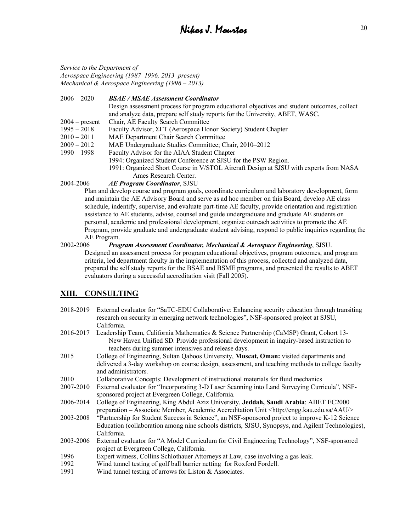*Service to the Department of Aerospace Engineering (1987–1996, 2013–present) Mechanical & Aerospace Engineering (1996 – 2013)*

2006 – 2020 *BSAE / MSAE Assessment Coordinator* Design assessment process for program educational objectives and student outcomes, collect and analyze data, prepare self study reports for the University, ABET, WASC. 2004 – present Chair, AE Faculty Search Committee 1995 – 2018 Faculty Advisor, ΣΓΤ (Aerospace Honor Society) Student Chapter 2010 – 2011 MAE Department Chair Search Committee 2009 – 2012 MAE Undergraduate Studies Committee; Chair, 2010–2012 1990 – 1998 Faculty Advisor for the AIAA Student Chapter 1994: Organized Student Conference at SJSU for the PSW Region. 1991: Organized Short Course in V/STOL Aircraft Design at SJSU with experts from NASA Ames Research Center.

#### 2004-2006 *AE Program Coordinator*, SJSU

Plan and develop course and program goals, coordinate curriculum and laboratory development, form and maintain the AE Advisory Board and serve as ad hoc member on this Board, develop AE class schedule, indentify, supervise, and evaluate part-time AE faculty, provide orientation and registration assistance to AE students, advise, counsel and guide undergraduate and graduate AE students on personal, academic and professional development, organize outreach activities to promote the AE Program, provide graduate and undergraduate student advising, respond to public inquiries regarding the AE Program.

#### 2002-2006 *Program Assessment Coordinator, Mechanical & Aerospace Engineering*, SJSU. Designed an assessment process for program educational objectives, program outcomes, and program criteria, led department faculty in the implementation of this process, collected and analyzed data, prepared the self study reports for the BSAE and BSME programs, and presented the results to ABET evaluators during a successful accreditation visit (Fall 2005).

## **XIII. CONSULTING**

| 2018-2019 | External evaluator for "SaTC-EDU Collaborative: Enhancing security education through transiting<br>research on security in emerging network technologies", NSF-sponsored project at SJSU,                                                |
|-----------|------------------------------------------------------------------------------------------------------------------------------------------------------------------------------------------------------------------------------------------|
|           | California.                                                                                                                                                                                                                              |
| 2016-2017 | Leadership Team, California Mathematics & Science Partnership (CaMSP) Grant, Cohort 13-<br>New Haven Unified SD. Provide professional development in inquiry-based instruction to<br>teachers during summer intensives and release days. |
| 2015      | College of Engineering, Sultan Qaboos University, Muscat, Oman: visited departments and                                                                                                                                                  |
|           | delivered a 3-day workshop on course design, assessment, and teaching methods to college faculty<br>and administrators.                                                                                                                  |
| 2010      | Collaborative Concepts: Development of instructional materials for fluid mechanics                                                                                                                                                       |
| 2007-2010 | External evaluator for "Incorporating 3-D Laser Scanning into Land Surveying Curricula", NSF-<br>sponsored project at Evergreen College, California.                                                                                     |
| 2006-2014 | College of Engineering, King Abdul Aziz University, Jeddah, Saudi Arabia: ABET EC2000<br>preparation – Associate Member, Academic Accreditation Unit <http: aau="" engg.kau.edu.sa=""></http:>                                           |
| 2003-2008 | "Partnership for Student Success in Science", an NSF-sponsored project to improve K-12 Science<br>Education (collaboration among nine schools districts, SJSU, Synopsys, and Agilent Technologies),<br>California.                       |
| 2003-2006 | External evaluator for "A Model Curriculum for Civil Engineering Technology", NSF-sponsored<br>project at Evergreen College, California.                                                                                                 |
| 1996      | Expert witness, Collins Schlothauer Attorneys at Law, case involving a gas leak.                                                                                                                                                         |
| 1992      | Wind tunnel testing of golf ball barrier netting for Roxford Fordell.                                                                                                                                                                    |
| 1991      | Wind tunnel testing of arrows for Liston $&$ Associates.                                                                                                                                                                                 |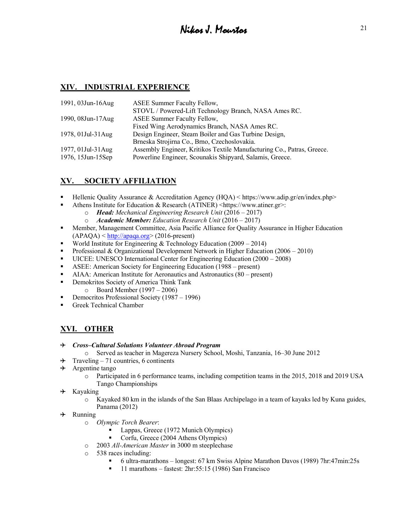## **XIV. INDUSTRIAL EXPERIENCE**

| 1991, 03Jun-16Aug | <b>ASEE Summer Faculty Fellow,</b>                                     |
|-------------------|------------------------------------------------------------------------|
|                   | STOVL / Powered-Lift Technology Branch, NASA Ames RC.                  |
| 1990, 08Jun-17Aug | <b>ASEE Summer Faculty Fellow,</b>                                     |
|                   | Fixed Wing Aerodynamics Branch, NASA Ames RC.                          |
| 1978, 01Jul-31Aug | Design Engineer, Steam Boiler and Gas Turbine Design,                  |
|                   | Brneska Strojirna Co., Brno, Czechoslovakia.                           |
| 1977, 01Jul-31Aug | Assembly Engineer, Kritikos Textile Manufacturing Co., Patras, Greece. |
| 1976, 15Jun-15Sep | Powerline Engineer, Scounakis Shipyard, Salamis, Greece.               |
|                   |                                                                        |

## **XV. SOCIETY AFFILIATION**

- Hellenic Quality Assurance & Accreditation Agency (HQA) < https://www.adip.gr/en/index.php>
	- Athens Institute for Education & Research (ATINER)  $\langle$ https://www.atiner.gr>:
		- o *Head: Mechanical Engineering Research Unit* (2016 2017)
		- o *Academic Member: Education Research Unit* (2016 2017)
- Member, Management Committee, Asia Pacific Alliance for Quality Assurance in Higher Education  $(APAOA) < \frac{http://apaqa.org>}{2016-present}$
- World Institute for Engineering & Technology Education (2009 2014)
- Professional & Organizational Development Network in Higher Education (2006 2010)
- § UICEE: UNESCO International Center for Engineering Education (2000 2008)
- ASEE: American Society for Engineering Education (1988 present)
- AIAA: American Institute for Aeronautics and Astronautics (80 present)
- Demokritos Society of America Think Tank
	- o Board Member (1997 2006)
- Democritos Professional Society (1987 1996)
- Greek Technical Chamber

## **XVI. OTHER**

#### ✈ *Cross–Cultural Solutions Volunteer Abroad Program*

- o Served as teacher in Magereza Nursery School, Moshi, Tanzania, 16–30 June 2012
- $\rightarrow$  Traveling 71 countries, 6 continents
- $\rightarrow$  Argentine tango
	- o Participated in 6 performance teams, including competition teams in the 2015, 2018 and 2019 USA Tango Championships
- $\div$  Kayaking
	- o Kayaked 80 km in the islands of the San Blaas Archipelago in a team of kayaks led by Kuna guides, Panama (2012)
- $\rightarrow$  Running
	- o *Olympic Torch Bearer*:
		- § Lappas, Greece (1972 Munich Olympics)
		- § Corfu, Greece (2004 Athens Olympics)
	- o 2003 *All-American Master* in 3000 m steeplechase
	- o 538 races including:
		- § 6 ultra-marathons longest: 67 km Swiss Alpine Marathon Davos (1989) 7hr:47min:25s
		- 11 marathons fastest: 2hr:55:15 (1986) San Francisco